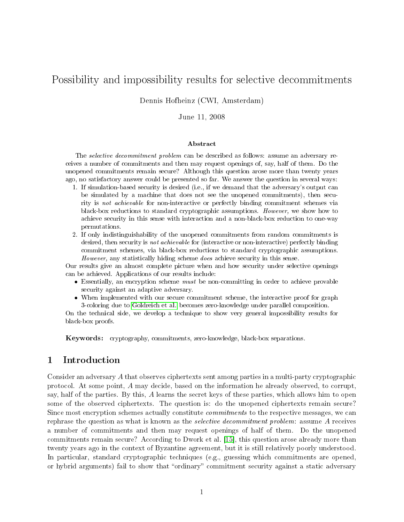# Possibility and impossibility results for selective decommitments

Dennis Hofheinz (CWI, Amsterdam)

June 11, 2008

#### Abstract

The selective decommitment problem can be described as follows: assume an adversary receives a number of commitments and then may request openings of, say, half of them. Do the unopened commitments remain secure? Although this question arose more than twenty years ago, no satisfactory answer could be presented so far. We answer the question in several ways:

- 1. If simulation-based security is desired (i.e., if we demand that the adversary's output can be simulated by a machine that does not see the unopened commitments), then security is not achievable for non-interactive or perfectly binding commitment schemes via black-box reductions to standard cryptographic assumptions. However, we show how to achieve security in this sense with interaction and a non-black-box reduction to one-way permutations.
- 2. If only indistinguishability of the unopened commitments from random commitments is desired, then security is *not achievable* for (interactive or non-interactive) perfectly binding commitment schemes, via black-box reductions to standard cryptographic assumptions. However, any statistically hiding scheme does achieve security in this sense.

Our results give an almost complete picture when and how security under selective openings can be achieved. Applications of our results include:

- Essentially, an encryption scheme *must* be non-committing in order to achieve provable security against an adaptive adversary.
- When implemented with our secure commitment scheme, the interactive proof for graph 3-coloring due to [Goldreich et al.](#page-30-0) becomes zero-knowledge under parallel composition.

On the technical side, we develop a technique to show very general impossibility results for black-box proofs.

Keywords: cryptography, commitments, zero-knowledge, black-box separations.

# 1 Introduction

Consider an adversary A that observes ciphertexts sent among parties in a multi-party cryptographic protocol. At some point, A may decide, based on the information he already observed, to corrupt, say, half of the parties. By this, A learns the secret keys of these parties, which allows him to open some of the observed ciphertexts. The question is: do the unopened ciphertexts remain secure? Since most encryption schemes actually constitute *commitments* to the respective messages, we can rephrase the question as what is known as the selective decommitment problem: assume A receives a number of commitments and then may request openings of half of them. Do the unopened commitments remain secure? According to Dwork et al. [\[15\]](#page-29-0), this question arose already more than twenty years ago in the context of Byzantine agreement, but it is still relatively poorly understood. In particular, standard cryptographic techniques (e.g., guessing which commitments are opened, or hybrid arguments) fail to show that "ordinary" commitment security against a static adversary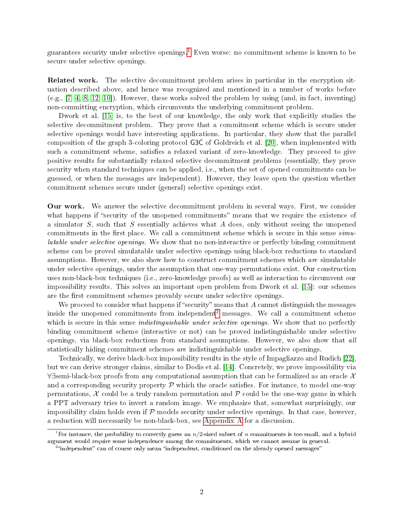guarantees security under selective openings.<sup>[1](#page-1-0)</sup> Even worse: no commitment scheme is known to be secure under selective openings.

Related work. The selective decommitment problem arises in particular in the encryption situation described above, and hence was recognized and mentioned in a number of works before  $(e.g., [7, 4, 8, 12, 10])$  $(e.g., [7, 4, 8, 12, 10])$  $(e.g., [7, 4, 8, 12, 10])$  $(e.g., [7, 4, 8, 12, 10])$  $(e.g., [7, 4, 8, 12, 10])$  $(e.g., [7, 4, 8, 12, 10])$  $(e.g., [7, 4, 8, 12, 10])$ . However, these works solved the problem by using (and, in fact, inventing) non-committing encryption, which circumvents the underlying commitment problem.

Dwork et al. [\[15\]](#page-29-0) is, to the best of our knowledge, the only work that explicitly studies the selective decommitment problem. They prove that a commitment scheme which is secure under selective openings would have interesting applications. In particular, they show that the parallel composition of the graph 3-coloring protocol G3C of Goldreich et al. [\[20\]](#page-30-0), when implemented with such a commitment scheme, satisfies a relaxed variant of zero-knowledge. They proceed to give positive results for substantially relaxed selective decommitment problems (essentially, they prove security when standard techniques can be applied, i.e., when the set of opened commitments can be guessed, or when the messages are independent). However, they leave open the question whether commitment schemes secure under (general) selective openings exist.

Our work. We answer the selective decommitment problem in several ways. First, we consider what happens if "security of the unopened commitments" means that we require the existence of a simulator S, such that S essentially achieves what A does, only without seeing the unopened commitments in the first place. We call a commitment scheme which is secure in this sense  $sim$ latable under selective openings. We show that no non-interactive or perfectly binding commitment scheme can be proved simulatable under selective openings using black-box reductions to standard assumptions. However, we also show how to construct commitment schemes which are simulatable under selective openings, under the assumption that one-way permutations exist. Our construction uses non-black-box techniques (i.e., zero-knowledge proofs) as well as interaction to circumvent our impossibility results. This solves an important open problem from Dwork et al. [\[15\]](#page-29-0): our schemes are the first commitment schemes provably secure under selective openings.

We proceed to consider what happens if "security" means that  $A$  cannot distinguish the messages inside the unopened commitments from independent<sup>[2](#page-1-1)</sup> messages. We call a commitment scheme which is secure in this sense *indistinguishable under selective openings*. We show that no perfectly binding commitment scheme (interactive or not) can be proved indistinguishable under selective openings, via black-box reductions from standard assumptions. However, we also show that all statistically hiding commitment schemes are indistinguishable under selective openings.

Technically, we derive black-box impossibility results in the style of Impagliazzo and Rudich [\[22\]](#page-30-1), but we can derive stronger claims, similar to Dodis et al. [\[14\]](#page-29-5). Concretely, we prove impossibility via  $\forall \exists$ semi-black-box proofs from any computational assumption that can be formalized as an oracle X and a corresponding security property  $P$  which the oracle satisfies. For instance, to model one-way permutations,  $\mathcal X$  could be a truly random permutation and  $\mathcal P$  could be the one-way game in which a PPT adversary tries to invert a random image. We emphasize that, somewhat surprisingly, our impossibility claim holds even if  $P$  models security under selective openings. In that case, however, a reduction will necessarily be non-black-box, see [Appendix A](#page-30-2) for a discussion.

<span id="page-1-0"></span><sup>&</sup>lt;sup>1</sup>For instance, the probability to correctly guess an  $n/2$ -sized subset of n commitments is too small, and a hybrid argument would require some independence among the commitments, which we cannot assume in general.

<span id="page-1-1"></span><sup>&</sup>lt;sup>2</sup>"independent" can of course only mean "independent, conditioned on the already opened messages"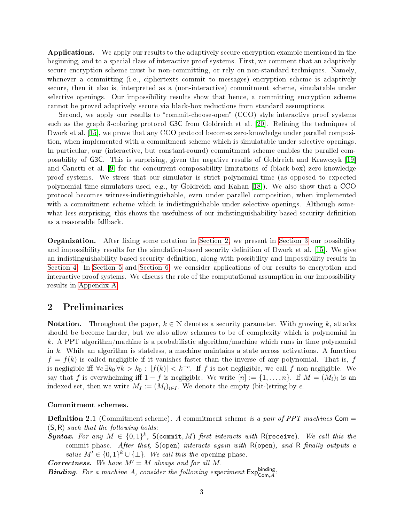Applications. We apply our results to the adaptively secure encryption example mentioned in the beginning, and to a special class of interactive proof systems. First, we comment that an adaptively secure encryption scheme must be non-committing, or rely on non-standard techniques. Namely, whenever a committing (i.e., ciphertexts commit to messages) encryption scheme is adaptively secure, then it also is, interpreted as a (non-interactive) commitment scheme, simulatable under selective openings. Our impossibility results show that hence, a committing encryption scheme cannot be proved adaptively secure via black-box reductions from standard assumptions.

Second, we apply our results to "commit-choose-open" (CCO) style interactive proof systems such as the graph 3-coloring protocol G3C from Goldreich et al. [\[20\]](#page-30-0). Refining the techniques of Dwork et al. [\[15\]](#page-29-0), we prove that any CCO protocol becomes zero-knowledge under parallel composition, when implemented with a commitment scheme which is simulatable under selective openings. In particular, our (interactive, but constant-round) commitment scheme enables the parallel composability of G3C. This is surprising, given the negative results of Goldreich and Krawczyk [\[19\]](#page-30-3) and Canetti et al. [\[9\]](#page-29-6) for the concurrent composability limitations of (black-box) zero-knowledge proof systems. We stress that our simulator is strict polynomial-time (as opposed to expected polynomial-time simulators used, e.g., by Goldreich and Kahan [\[18\]](#page-29-7)). We also show that a CCO protocol becomes witness-indistinguishable, even under parallel composition, when implemented with a commitment scheme which is indistinguishable under selective openings. Although somewhat less surprising, this shows the usefulness of our indistinguishability-based security definition as a reasonable fallback.

**Organization.** After fixing some notation in [Section 2,](#page-2-0) we present in [Section 3](#page-5-0) our possibility and impossibility results for the simulation-based security definition of Dwork et al. [\[15\]](#page-29-0). We give an indistinguishability-based security definition, along with possibility and impossibility results in [Section 4.](#page-15-0) In [Section 5](#page-23-0) and [Section 6,](#page-24-0) we consider applications of our results to encryption and interactive proof systems. We discuss the role of the computational assumption in our impossibility results in [Appendix A.](#page-30-2)

### <span id="page-2-0"></span>2 Preliminaries

**Notation.** Throughout the paper,  $k \in \mathbb{N}$  denotes a security parameter. With growing k, attacks should be become harder, but we also allow schemes to be of complexity which is polynomial in k. A PPT algorithm/machine is a probabilistic algorithm/machine which runs in time polynomial in k. While an algorithm is stateless, a machine maintains a state across activations. A function  $f = f(k)$  is called negligible if it vanishes faster than the inverse of any polynomial. That is, f is negligible iff  $\forall c \exists k_0 \forall k > k_0 : |f(k)| < k^{-c}$ . If f is not negligible, we call f non-negligible. We say that f is overwhelming iff  $1-f$  is negligible. We write  $[n]:=\{1,\ldots,n\}$ . If  $M=(M_i)_i$  is an indexed set, then we write  $M_I := (M_i)_{i \in I}$ . We denote the empty (bit-)string by  $\epsilon$ .

#### <span id="page-2-1"></span>Commitment schemes.

**Definition 2.1** (Commitment scheme). A commitment scheme is a pair of PPT machines Com  $=$  $(S, R)$  such that the following holds:

Syntax. For any  $M \in \{0,1\}^k$ , S(commit, M) first interacts with R(receive). We call this the commit phase. After that,  $S(\text{open})$  interacts again with  $R(\text{open})$ , and  $R$  finally outputs a value  $M' \in \{0,1\}^k \cup \{\perp\}$ . We call this the opening phase.

**Correctness.** We have  $M' = M$  always and for all M.

**Binding.** For a machine A, consider the following experiment  $Exp_{Com,A}^{binding}$ :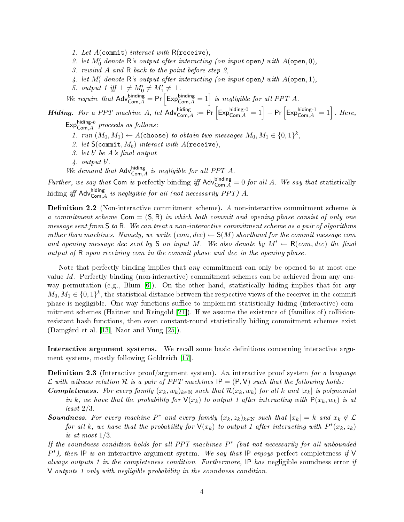- 1. Let  $A$ (commit) interact with  $R$ (receive),
- 2. let  $M'_0$  denote  $R$ 's output after interacting (on input open) with  $A$ (open, 0),
- 3. rewind A and R back to the point before step 2,
- 4. let  $M'_1$  denote R's output after interacting (on input open) with  $A$ (open, 1),
- 5. output 1 iff  $\bot \neq M'_0 \neq M'_1 \neq \bot$ .

We require that  $\mathsf{Adv}_{\mathsf{Com},A}^{\mathsf{binding}} = \mathsf{Pr}\left[\mathsf{Exp}_{\mathsf{Com},A}^{\mathsf{binding}} = 1\right]$  is negligible for all PPT A.

We require that  $\mathsf{Adv}_{\mathsf{Com},A}^{\mathsf{binding}} = \mathsf{Pr} \left[ \mathsf{Exp}_{\mathsf{Com},A}^{\mathsf{binding}} = 1 \right]$  is negligible for all PPT A.<br> **Hiding.** For a PPT machine A, let  $\mathsf{Adv}_{\mathsf{Com},A}^{\mathsf{hiding}} := \mathsf{Pr} \left[ \mathsf{Exp}_{\mathsf{Com},A}^{\mathsf{hiding-0}} = 1 \right] - \mathsf{Pr} \left[ \mathsf{Exp}_{$ 

 $\mathsf{Exp}^{\mathsf{hiding}\text{-}b}_{\mathsf{Com},A}$  proceeds as follows:

1. run  $(M_0, M_1) \leftarrow A(\text{choose})$  to obtain two messages  $M_0, M_1 \in \{0, 1\}^k$ ,

- 2. let  $S$ (commit,  $M_b$ ) interact with  $A$ (receive),
- 3. let  $b'$  be  $A$ 's final output
- $\frac{1}{4}$  output  $b'$ .
- We demand that  $\mathsf{Adv}^{\mathsf{hiding}}_{\mathsf{Com}, A}$  is negligible for all PPT A.

Further, we say that Com is perfectly binding iff  $\text{Adv}_{\text{Com},A}^{\text{binding}} = 0$  for all A. We say that statistically hiding iff  $\mathsf{Adv}^{\text{hiding}}_{\mathsf{Com}, A}$  is negligible for all (not necessarily PPT) A.

**Definition 2.2** (Non-interactive commitment scheme). A non-interactive commitment scheme is a commitment scheme  $Com = (S, R)$  in which both commit and opening phase consist of only one message sent from S to R. We can treat a non-interactive commitment scheme as a pair of algorithms rather than machines. Namely, we write  $(com, dec) \leftarrow S(M)$  shorthand for the commit message com and opening message dec sent by S on input M. We also denote by  $M' \leftarrow R(com, dec)$  the final output of R upon receiving com in the commit phase and dec in the opening phase.

Note that perfectly binding implies that *any* commitment can only be opened to at most one value  $M$ . Perfectly binding (non-interactive) commitment schemes can be achieved from any oneway permutation (e.g., Blum  $[6]$ ). On the other hand, statistically hiding implies that for any  $M_0, M_1 \in \{0,1\}^k$ , the statistical distance between the respective views of the receiver in the commit phase is negligible. One-way functions suffice to implement statistically hiding (interactive) commitment schemes (Haitner and Reingold [\[21\]](#page-30-4)). If we assume the existence of (families of) collisionresistant hash functions, then even constant-round statistically hiding commitment schemes exist (Damgård et al. [\[13\]](#page-29-9), Naor and Yung [\[25\]](#page-30-5)).

Interactive argument systems. We recall some basic definitions concerning interactive argument systems, mostly following Goldreich [\[17\]](#page-29-10).

**Definition 2.3** (Interactive proof/argument system). An interactive proof system for a language  $\mathcal L$  with witness relation  $\mathcal R$  is a pair of PPT machines  $IP = (P, V)$  such that the following holds:

- **Completeness.** For every family  $(x_k, w_k)_{k \in \mathbb{N}}$  such that  $\mathcal{R}(x_k, w_k)$  for all k and  $|x_k|$  is polynomial in k, we have that the probability for  $\mathsf{V}(x_k)$  to output 1 after interacting with  $\mathsf{P}(x_k, w_k)$  is at least 2/3.
- **Soundness.** For every machine  $P^*$  and every family  $(x_k, z_k)_{k \in \mathbb{N}}$  such that  $|x_k| = k$  and  $x_k \notin \mathcal{L}$ for all k, we have that the probability for  $\mathsf{V}(x_k)$  to output 1 after interacting with  $P^*(x_k, z_k)$ is at most 1/3.

If the soundness condition holds for all PPT machines  $P^*$  (but not necessarily for all unbounded  $P^*$ ), then IP is an interactive argument system. We say that IP enjoys perfect completeness if V always outputs 1 in the completeness condition. Furthermore, IP has negligible soundness error if V outputs 1 only with negligible probability in the soundness condition.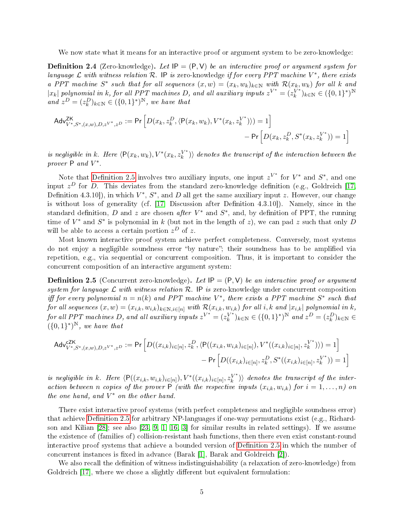We now state what it means for an interactive proof or argument system to be zero-knowledge:

<span id="page-4-1"></span>**Definition 2.4** (Zero-knowledge). Let  $IP = (P, V)$  be an interactive proof or argument system for language  $\mathcal L$  with witness relation  $\mathcal R$ . IP is zero-knowledge if for every PPT machine  $V^*$ , there exists a PPT machine  $S^*$  such that for all sequences  $(x, w) = (x_k, w_k)_{k \in \mathbb{N}}$  with  $\mathcal{R}(x_k, w_k)$  for all k and |x<sub>k</sub>| polynomial in k, for all PPT machines D, and all auxiliary inputs  $z^{V^*} = (z_k^{V^*})$  $_k^{V^*}$ <sub>k</sub> $_{k \in \mathbb{N}} \in (\{0,1\}^*)^{\mathbb{N}}$ and  $z^D = (z_k^D)_{k \in \mathbb{N}} \in (\{0,1\}^*)^{\mathbb{N}}$ , we have that

$$
Adv_{V^*,S^*,(x,w),D,z^{V^*,},z^D}^{ZK} := \Pr\Big[D(x_k,z_k^D,\langle \mathsf{P}(x_k,w_k),V^*(x_k,z_k^{V^*})\rangle) = 1\Big] - \Pr\Big[D(x_k,z_k^D,S^*(x_k,z_k^{V^*})) = 1\Big]
$$

is negligible in k. Here  $\langle P(x_k, w_k), V^*(x_k, z_k^{V^*}) \rangle$  $\binom{V^*}{k}$  denotes the transcript of the interaction between the prover  $P$  and  $V^*$ .

Note that Definition 2.5 involves two auxiliary inputs, one input  $z^{V^*}$  for  $V^*$  and  $S^*$ , and one input  $z^D$  for D. This deviates from the standard zero-knowledge definition (e.g., Goldreich [\[17,](#page-29-10) Definition 4.3.10]), in which  $V^*, S^*$ , and D all get the same auxiliary input z. However, our change is without loss of generality (cf.  $[17,$  Discussion after Definition 4.3.10]). Namely, since in the standard definition, D and z are chosen after  $V^*$  and  $S^*$ , and, by definition of PPT, the running time of  $V^*$  and  $S^*$  is polynomial in k (but not in the length of z), we can pad z such that only D will be able to access a certain portion  $z^D$  of z.

Most known interactive proof system achieve perfect completeness. Conversely, most systems do not enjoy a negligible soundness error "by nature"; their soundness has to be amplified via repetition, e.g., via sequential or concurrent composition. Thus, it is important to consider the concurrent composition of an interactive argument system:

<span id="page-4-0"></span>**Definition 2.5** (Concurrent zero-knowledge). Let  $IP = (P, V)$  be an interactive proof or argument system for language  $\mathcal L$  with witness relation  $\mathcal R$ . IP is zero-knowledge under concurrent composition iff for every polynomial  $n = n(k)$  and PPT machine  $V^*$ , there exists a PPT machine  $S^*$  such that  $for\ all\ sequences\ (x,w)=(x_{i,k},w_{i,k})_{k\in\mathbb{N},i\in[n]} \ with\ \mathcal{R}(x_{i,k},w_{i,k})\ for\ all\ i,k\ and\ |x_{i,k}|\ polynomial\ in\ k,$ for all PPT machines D, and all auxiliary inputs  $z^{V^*} = (z_k^{V^*})^T$  $\binom{V^*}{k}_{k=1}$   $k \in (\{0,1\}^*)^N$  and  $z^D = (z_k^D)_{k \in \mathbb{N}} \in$  $(\{0,1\}^*)^N$ , we have that

$$
\mathsf{Adv}_{V^*,S^*,(x,w),D,z^{V^*,},z^D}^{\mathsf{CZK}} := \mathsf{Pr}\left[D((x_{i,k})_{i\in[n]},z_k^D,\langle\mathsf{P}((x_{i,k},w_{i,k})_{i\in[n]}),V^*((x_{i,k})_{i\in[n]},z_k^{V^*})\rangle)=1\right]
$$

$$
-\mathsf{Pr}\left[D((x_{i,k})_{i\in[n]},z_k^D,S^*((x_{i,k})_{i\in[n]},z_k^{V^*}))=1\right]
$$

is negligible in k. Here  $\langle P((x_{i,k}, w_{i,k})_{i\in[n]}), V^*((x_{i,k})_{i\in[n]}, z_k^{V^*} \rangle$  $\binom{V^*}{k}$  denotes the transcript of the interaction between n copies of the prover  $P$  (with the respective inputs  $(x_{i,k}, w_{i,k})$  for  $i = 1, ..., n$ ) on the one hand, and  $V^*$  on the other hand.

There exist interactive proof systems (with perfect completeness and negligible soundness error) that achieve Definition 2.5 for arbitrary NP-languages if one-way permutations exist (e.g., Richardson and Kilian [\[28\]](#page-30-6); see also [\[23,](#page-30-7) [9,](#page-29-6) [1,](#page-28-1) [16,](#page-29-11) [3\]](#page-28-2) for similar results in related settings). If we assume the existence of (families of) collision-resistant hash functions, then there even exist constant-round interactive proof systems that achieve a bounded version of Definition 2.5 in which the number of concurrent instances is fixed in advance (Barak  $[1]$ , Barak and Goldreich  $[2]$ ).

<span id="page-4-2"></span>We also recall the definition of witness indistinguishability (a relaxation of zero-knowledge) from Goldreich [\[17\]](#page-29-10), where we chose a slightly different but equivalent formulation: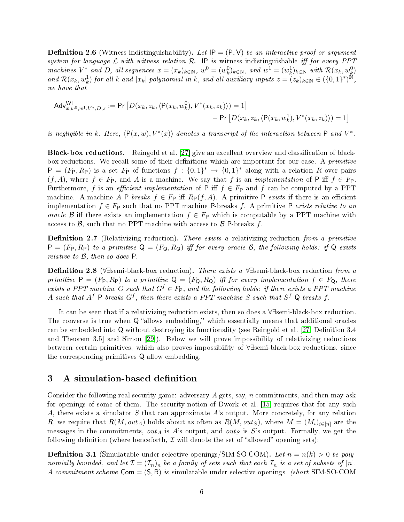**Definition 2.6** (Witness indistinguishability). Let  $IP = (P, V)$  be an interactive proof or argument system for language  $\mathcal L$  with witness relation  $\mathcal R$ . IP is witness indistinguishable iff for every PPT machines  $V^*$  and D, all sequences  $x = (x_k)_{k \in \mathbb{N}}$ ,  $w^0 = (w_k^0)_{k \in \mathbb{N}}$ , and  $w^1 = (w_k^1)_{k \in \mathbb{N}}$  with  $\mathcal{R}(x_k, w_k^0)$ and  $\mathcal{R}(x_k, w_k^1)$  for all k and  $|x_k|$  polynomial in k, and all auxiliary inputs  $z = (z_k)_{k \in \mathbb{N}} \in (\{0,1\}^*)^{\widetilde{\mathbb{N}}}$ , we have that

$$
\mathsf{Adv}^{\mathsf{WI}}_{x,w^0,w^1,V^*,D,z} := \mathsf{Pr}\left[D(x_k,z_k,\langle \mathsf{P}(x_k,w^0_k),V^*(x_k,z_k)\rangle) = 1\right] \\ \qquad \qquad \left. - \mathsf{Pr}\left[D(x_k,z_k,\langle \mathsf{P}(x_k,w^1_k),V^*(x_k,z_k)\rangle) = 1\right] \\
$$

is negligible in k. Here,  $\langle P(x, w), V^*(x) \rangle$  denotes a transcript of the interaction between P and  $V^*$ .

Black-box reductions. Reingold et al. [\[27\]](#page-30-8) give an excellent overview and classification of blackbox reductions. We recall some of their definitions which are important for our case. A *primitive*  $P = (F_P, R_P)$  is a set  $F_P$  of functions  $f : \{0,1\}^* \to \{0,1\}^*$  along with a relation R over pairs  $(f, A)$ , where  $f \in F_{\mathsf{P}}$ , and A is a machine. We say that f is an *implementation* of P iff  $f \in F_{\mathsf{P}}$ . Furthermore, f is an *efficient implementation* of P iff  $f \in F_P$  and f can be computed by a PPT machine. A machine A P-breaks  $f \in F_P$  iff  $R_P(f, A)$ . A primitive P exists if there is an efficient implementation  $f \in F_P$  such that no PPT machine P-breaks f. A primitive P exists relative to an oracle B iff there exists an implementation  $f \in F_P$  which is computable by a PPT machine with access to  $\beta$ , such that no PPT machine with access to  $\beta$  P-breaks f.

**Definition 2.7** (Relativizing reduction). There exists a relativizing reduction from a primitive  $P = (F_P, R_P)$  to a primitive  $Q = (F_Q, R_Q)$  iff for every oracle B, the following holds: if Q exists relative to B, then so does P.

Definition 2.8 (∀∃semi-black-box reduction). There exists a ∀∃semi-black-box reduction from a primitive  $P = (F_P, R_P)$  to a primitive  $Q = (F_Q, R_Q)$  iff for every implementation  $f \in F_Q$ , there exists a PPT machine G such that  $G^f \in F_P$ , and the following holds: if there exists a PPT machine A such that  $A^f$  P-breaks  $G^f$ , then there exists a PPT machine S such that  $S^f$  Q-breaks f.

It can be seen that if a relativizing reduction exists, then so does a ∀∃semi-black-box reduction. The converse is true when  $Q$  "allows embedding," which essentially means that additional oracles can be embedded into  $Q$  without destroying its functionality (see Reingold et al. [\[27,](#page-30-8) Definition 3.4] and Theorem 3.5] and Simon [\[29\]](#page-30-9)). Below we will prove impossibility of relativizing reductions between certain primitives, which also proves impossibility of ∀∃semi-black-box reductions, since the corresponding primitives Q allow embedding.

### <span id="page-5-0"></span>3 A simulation-based definition

Consider the following real security game: adversary  $A$  gets, say,  $n$  commitments, and then may ask for openings of some of them. The security notion of Dwork et al. [\[15\]](#page-29-0) requires that for any such A, there exists a simulator  $S$  that can approximate  $A$ 's output. More concretely, for any relation R, we require that  $R(M, out_A)$  holds about as often as  $R(M, out_S)$ , where  $M = (M_i)_{i \in [n]}$  are the messages in the commitments,  $out_A$  is A's output, and  $out_S$  is S's output. Formally, we get the following definition (where henceforth,  $\mathcal I$  will denote the set of "allowed" opening sets):

<span id="page-5-1"></span>**Definition 3.1** (Simulatable under selective openings/SIM-SO-COM). Let  $n = n(k) > 0$  be polynomially bounded, and let  $\mathcal{I} = (\mathcal{I}_n)_n$  be a family of sets such that each  $\mathcal{I}_n$  is a set of subsets of  $[n]$ . A commitment scheme  $Com = (S, R)$  is simulatable under selective openings (short SIM-SO-COM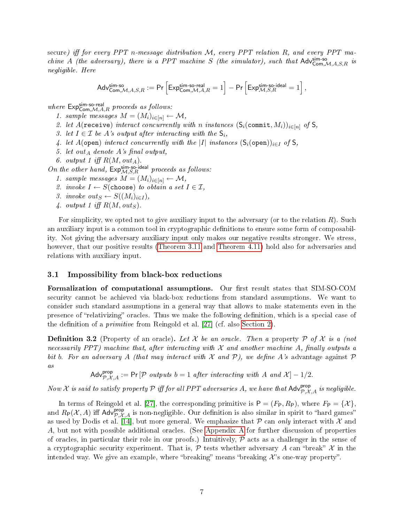secure) iff for every PPT n-message distribution  $M$ , every PPT relation  $R$ , and every PPT masecure) iff for every PPT n-message distribution M, every PPT relation R, and every PPT ma-<br>chine A (the adversary), there is a PPT machine S (the simulator), such that  $\mathsf{Adv}_{\mathsf{Com},\mathcal{M},A,S,R}^{ \mathsf{Sim-so}}$  is negligible. Here

$$
^e\text{Adv}_{\mathsf{Com},\mathcal{M},A,S,R}^{\mathsf{sim-so}}:=\mathsf{Pr}\left[\mathsf{Exp}_{\mathsf{Com},\mathcal{M},A,R}^{\mathsf{sim-so}\text{-real}}=1\right]-\mathsf{Pr}\left[\mathsf{Exp}_{\mathcal{M},S,R}^{\mathsf{sim-so}\text{-ideal}}=1\right],
$$

 $\begin{bmatrix} \text{C}^{\text{C}} \\ \text{C}^{\text{C}} \end{bmatrix}$ <br>where  $\text{Exp}_{\text{Com},\mathcal{M},A,R}^{\text{S}}$  proceeds as follows:

- 1. sample messages  $M = (M_i)_{i \in [n]} \leftarrow \mathcal{M},$
- 2. let A(receive) interact concurrently with n instances  $(S_i(\text{commit}, M_i))_{i \in [n]}$  of  $S_i$
- 3. let  $I \in \mathcal{I}$  be A's output after interacting with the  $\mathsf{S}_i$ ,
- 4. let A(open) interact concurrently with the |I| instances  $(S_i(\text{open}))_{i\in I}$  of S,
- 5. let out<sub>A</sub> denote A's final output,
- 6. output 1 iff  $R(M, out_A)$ .

5. iet out<sub>A</sub> aenote A s jinut output,<br>
6. output 1 iff  $R(M, out_A)$ .<br>
On the other hand,  $Exp_{\mathcal{M},S,R}^{\text{sim-so-ideal}}$  proceeds as follows:

- 1. sample messages  $M = (M_i)_{i \in [n]} \leftarrow \mathcal{M},$
- 2. invoke  $I \leftarrow S(\text{choose})$  to obtain a set  $I \in \mathcal{I}$ ,
- 3. invoke out<sub>S</sub>  $\leftarrow S((M_i)_{i \in I}),$
- 4. output 1 iff  $R(M, out_S)$ .

For simplicity, we opted not to give auxiliary input to the adversary (or to the relation  $R$ ). Such an auxiliary input is a common tool in cryptographic definitions to ensure some form of composability. Not giving the adversary auxiliary input only makes our negative results stronger. We stress, however, that our positive results [\(Theorem 3.11](#page-13-0) and [Theorem 4.11\)](#page-21-0) hold also for adversaries and relations with auxiliary input.

#### 3.1 Impossibility from black-box reductions

Formalization of computational assumptions. Our first result states that SIM-SO-COM security cannot be achieved via black-box reductions from standard assumptions. We want to consider such standard assumptions in a general way that allows to make statements even in the presence of "relativizing" oracles. Thus we make the following definition, which is a special case of the definition of a *primitive* from Reingold et al.  $[27]$  (cf. also [Section 2\)](#page-2-0).

<span id="page-6-0"></span>**Definition 3.2** (Property of an oracle). Let X be an oracle. Then a property P of X is a (not necessarily PPT) machine that, after interacting with  $\mathcal X$  and another machine  $A$ , finally outputs a bit b. For an adversary A (that may interact with X and P), we define A's advantage against P as

 $\mathsf{Adv}_{\mathcal{P},\mathcal{X},A}^{\mathsf{prop}} := \mathsf{Pr}\left[\mathcal{P} \text{ outputs } b=1 \text{ after interacting with } A \text{ and } \mathcal{X}\right] - 1/2.$ 

Now X is said to satisfy property P iff for all PPT adversaries A, we have that  $\mathsf{Adv}_{\mathcal{P},\mathcal{X},A}^{\mathsf{prop}}$  is negligible.

In terms of Reingold et al. [\[27\]](#page-30-8), the corresponding primitive is  $P = (F_P, R_P)$ , where  $F_P = \{X\}$ . and  $R_P(\mathcal{X}, A)$  iff  $\text{Adv}_{\mathcal{P},\mathcal{X},A}^{\text{prop}}$  is non-negligible. Our definition is also similar in spirit to "hard games" as used by Dodis et al. [\[14\]](#page-29-5), but more general. We emphasize that  $P$  can only interact with  $\mathcal X$  and A, but not with possible additional oracles. (See [Appendix A](#page-30-2) for further discussion of properties of oracles, in particular their role in our proofs.) Intuitively,  $P$  acts as a challenger in the sense of a cryptographic security experiment. That is,  $\mathcal P$  tests whether adversary A can "break" X in the intended way. We give an example, where "breaking" means "breaking  $\mathcal{X}$ 's one-way property".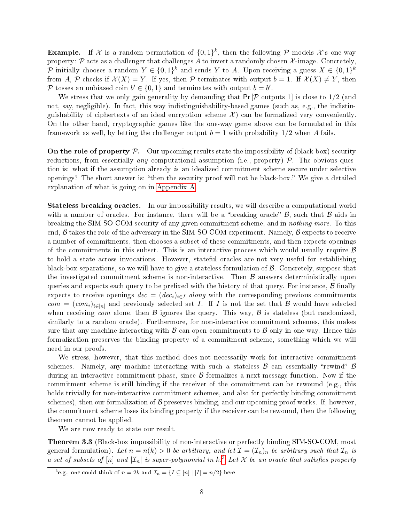**Example.** If X is a random permutation of  $\{0,1\}^k$ , then the following P models X's one-way property:  $P$  acts as a challenger that challenges  $A$  to invert a randomly chosen  $X$ -image. Concretely,  $\mathcal P$  initially chooses a random  $Y \in \{0,1\}^k$  and sends  $Y$  to  $A$ . Upon receiving a guess  $X \in \{0,1\}^k$ from A, P checks if  $\mathcal{X}(X) = Y$ . If yes, then P terminates with output  $b = 1$ . If  $\mathcal{X}(X) \neq Y$ , then P tosses an unbiased coin  $b' \in \{0, 1\}$  and terminates with output  $b = b'$ .

We stress that we only gain generality by demanding that  $Pr[\mathcal{P}]$  outputs 1 is close to  $1/2$  (and not, say, negligible). In fact, this way indistinguishability-based games (such as, e.g., the indistinguishability of ciphertexts of an ideal encryption scheme  $\mathcal{X}$  can be formalized very conveniently. On the other hand, cryptographic games like the one-way game above can be formulated in this framework as well, by letting the challenger output  $b = 1$  with probability  $1/2$  when A fails.

On the role of property  $P$ . Our upcoming results state the impossibility of (black-box) security reductions, from essentially *any* computational assumption (i.e., property)  $P$ . The obvious question is: what if the assumption already is an idealized commitment scheme secure under selective openings? The short answer is: "then the security proof will not be black-box." We give a detailed explanation of what is going on in [Appendix A.](#page-30-2)

Stateless breaking oracles. In our impossibility results, we will describe a computational world with a number of oracles. For instance, there will be a "breaking oracle"  $\beta$ , such that  $\beta$  aids in breaking the SIM-SO-COM security of any given commitment scheme, and in nothing more. To this end,  $\beta$  takes the role of the adversary in the SIM-SO-COM experiment. Namely,  $\beta$  expects to receive a number of commitments, then chooses a subset of these commitments, and then expects openings of the commitments in this subset. This is an interactive process which would usually require  $\beta$ to hold a state across invocations. However, stateful oracles are not very useful for establishing black-box separations, so we will have to give a stateless formulation of  $\beta$ . Concretely, suppose that the investigated commitment scheme is non-interactive. Then  $\beta$  answers deterministically upon queries and expects each query to be prefixed with the history of that query. For instance,  $\beta$  finally expects to receive openings  $dec = (dec_i)_{i \in I}$  along with the corresponding previous commitments  $com = (com_i)_{i\in[n]}$  and previously selected set I. If I is not the set that B would have selected when receiving com alone, then  $\beta$  ignores the query. This way,  $\beta$  is stateless (but randomized, similarly to a random oracle). Furthermore, for non-interactive commitment schemes, this makes sure that any machine interacting with  $\beta$  can open commitments to  $\beta$  only in one way. Hence this formalization preserves the binding property of a commitment scheme, something which we will need in our proofs.

We stress, however, that this method does not necessarily work for interactive commitment schemes. Namely, any machine interacting with such a stateless  $\beta$  can essentially "rewind"  $\beta$ during an interactive commitment phase, since  $\beta$  formalizes a next-message function. Now if the commitment scheme is still binding if the receiver of the commitment can be rewound (e.g., this holds trivially for non-interactive commitment schemes, and also for perfectly binding commitment schemes), then our formalization of  $\beta$  preserves binding, and our upcoming proof works. If, however, the commitment scheme loses its binding property if the receiver can be rewound, then the following theorem cannot be applied.

We are now ready to state our result.

<span id="page-7-1"></span>Theorem 3.3 (Black-box impossibility of non-interactive or perfectly binding SIM-SO-COM, most general formulation). Let  $n = n(k) > 0$  be arbitrary, and let  $\mathcal{I} = (\mathcal{I}_n)_n$  be arbitrary such that  $\mathcal{I}_n$  is a set of subsets of  $[n]$  and  $|\mathcal{I}_n|$  is super-polynomial in k.<sup>[3](#page-7-0)</sup> Let X be an oracle that satisfies property

<span id="page-7-0"></span><sup>&</sup>lt;sup>3</sup>e.g., one could think of  $n = 2k$  and  $\mathcal{I}_n = \{I \subseteq [n] \mid |I| = n/2\}$  here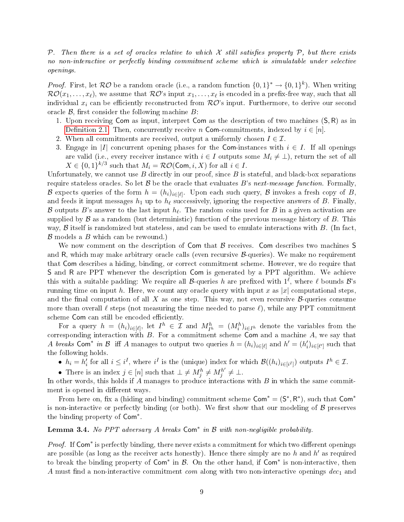P. Then there is a set of oracles relative to which X still satisfies property P, but there exists no non-interactive or perfectly binding commitment scheme which is simulatable under selective openings.

*Proof.* First, let  $\mathcal{RO}$  be a random oracle (i.e., a random function  $\{0,1\}^* \to \{0,1\}^k$ ). When writing  $\mathcal{RO}(x_1,\ldots,x_\ell),$  we assume that  $\mathcal{RO}'$ s input  $x_1,\ldots,x_\ell$  is encoded in a prefix-free way, such that all individual  $x_i$  can be efficiently reconstructed from  $R\mathcal{O}$ 's input. Furthermore, to derive our second oracle  $\mathcal{B}$ , first consider the following machine  $B$ :

- 1. Upon receiving Com as input, interpret Com as the description of two machines (S, R) as in Definition 2.1. Then, concurrently receive n Com-commitments, indexed by  $i \in [n]$ .
- 2. When all commitments are received, output a uniformly chosen  $I \in \mathcal{I}$ .
- 3. Engage in |I| concurrent opening phases for the Com-instances with  $i \in I$ . If all openings are valid (i.e., every receiver instance with  $i \in I$  outputs some  $M_i \neq \bot$ ), return the set of all  $X \in \{0,1\}^{k/3}$  such that  $M_i = \mathcal{RO}(\mathsf{Com}, i, X)$  for all  $i \in I$ .

Unfortunately, we cannot use  $B$  directly in our proof, since  $B$  is stateful, and black-box separations require stateless oracles. So let  $\mathcal B$  be the oracle that evaluates B's next-message function. Formally,  ${\cal B}$  expects queries of the form  $h = (h_i)_{i \in [\ell]}$ . Upon each such query,  ${\cal B}$  invokes a fresh copy of  $B,$ and feeds it input messages  $h_1$  up to  $h_\ell$  successively, ignoring the respective answers of B. Finally,  ${\cal B}$  outputs  $B$ 's answer to the last input  $h_\ell.$  The random coins used for  $B$  in a given activation are supplied by  $\beta$  as a random (but deterministic) function of the previous message history of  $B$ . This way,  $\beta$  itself is randomized but stateless, and can be used to emulate interactions with  $B$ . (In fact,  $\beta$  models a  $B$  which can be rewound.)

We now comment on the description of  $Com$  that  $\beta$  receives. Com describes two machines S and R, which may make arbitrary oracle calls (even recursive  $\beta$ -queries). We make no requirement that Com describes a hiding, binding, or correct commitment scheme. However, we do require that S and R are PPT whenever the description Com is generated by a PPT algorithm. We achieve this with a suitable padding: We require all B-queries h are prefixed with  $1^{\ell}$ , where  $\ell$  bounds B's running time on input h. Here, we count any oracle query with input x as |x| computational steps. and the final computation of all X as one step. This way, not even recursive  $\mathcal{B}$ -queries consume more than overall  $\ell$  steps (not measuring the time needed to parse  $\ell$ ), while any PPT commitment scheme Com can still be encoded efficiently.

For a query  $h = (h_i)_{i \in [\ell]},$  let  $I^h \in \mathcal{I}$  and  $M_{I^h}^h = (M_i^h)_{i \in I^h}$  denote the variables from the corresponding interaction with  $B$ . For a commitment scheme Com and a machine  $A$ , we say that A breaks Com<sup>\*</sup> in B iff A manages to output two queries  $h = (h_i)_{i \in [\ell]}$  and  $h' = (h'_i)_{i \in [\ell']}$  such that the following holds.

•  $h_i = h'_i$  for all  $i \leq i^I$ , where  $i^I$  is the (unique) index for which  $\mathcal{B}((h_i)_{i \in [i^I]})$  outputs  $I^h \in \mathcal{I}$ .

• There is an index  $j \in [n]$  such that  $\bot \neq M_j^h \neq M_j^{h'}$  $j^{h'} \neq \bot$ .

In other words, this holds if  $A$  manages to produce interactions with  $B$  in which the same commitment is opened in different ways.

From here on, fix a (hiding and binding) commitment scheme  $Com^* = (S^*, R^*)$ , such that  $Com^*$ is non-interactive or perfectly binding (or both). We first show that our modeling of  $\beta$  preserves the binding property of Com<sup>\*</sup>.

<span id="page-8-0"></span>**Lemma 3.4.** No PPT adversary A breaks  $Com^*$  in  $\mathcal B$  with non-negligible probability.

Proof. If Com<sup>\*</sup> is perfectly binding, there never exists a commitment for which two different openings are possible (as long as the receiver acts honestly). Hence there simply are no  $h$  and  $h'$  as required to break the binding property of  $Com^*$  in  $B$ . On the other hand, if  $Com^*$  is non-interactive, then A must find a non-interactive commitment com along with two non-interactive openings  $dec_1$  and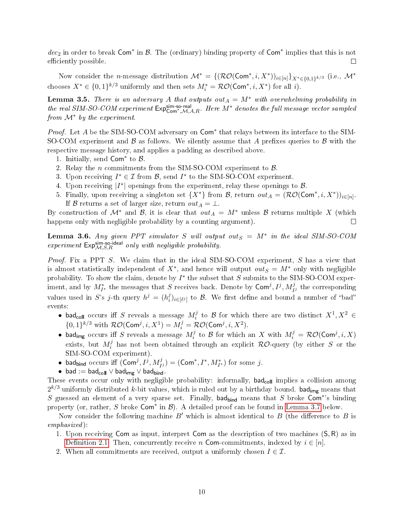$dec_2$  in order to break Com<sup>\*</sup> in  $\mathcal{B}$ . The (ordinary) binding property of Com<sup>\*</sup> implies that this is not efficiently possible.  $\Box$ 

Now consider the *n*-message distribution  $\mathcal{M}^* = \{ (\mathcal{RO}(\text{Com}^*, i, X^*))_{i \in [n]} \}_{X^* \in \{0,1\}^{k/3}}$  (i.e.,  $\mathcal{M}^*$ chooses  $X^* \in \{0,1\}^{k/3}$  uniformly and then sets  $M_i^* = \mathcal{RO}(\text{Com}^*, i, X^*)$  for all *i*).

**Lemma 3.5.** There is an adversary A that outputs out<sub>A</sub> =  $M^*$  with overwhelming probability in **Lemma 3.5.** There is an adversary A that outputs out  $A = M^*$  with overwhelming probability in the real SIM-SO-COM experiment  $Exp_{Com^*,M,A,R}^{Sim-so-real}$ . Here  $M^*$  denotes the full message vector sampled from  $\mathcal{M}^*$  by the experiment.

Proof. Let  $A$  be the SIM-SO-COM adversary on  $Com^*$  that relays between its interface to the SIM-SO-COM experiment and  $\beta$  as follows. We silently assume that A prefixes queries to  $\beta$  with the respective message history, and applies a padding as described above.

- 1. Initially, send  $Com^*$  to  $B$ .
- 2. Relay the *n* commitments from the SIM-SO-COM experiment to  $\beta$ .
- 3. Upon receiving  $I^* \in \mathcal{I}$  from  $\mathcal{B}$ , send  $I^*$  to the SIM-SO-COM experiment.
- 4. Upon receiving  $|I^*|$  openings from the experiment, relay these openings to  $\mathcal{B}$ .
- 5. Finally, upon receiving a singleton set  $\{X^*\}$  from  $\mathcal{B}$ , return  $out_A = (\mathcal{RO}(\text{Com}^*, i, X^*))_{i \in [n]}$ . If B returns a set of larger size, return  $out_A = \bot$ .

By construction of  $\mathcal{M}^*$  and  $\mathcal{B}$ , it is clear that  $out_A = M^*$  unless  $\mathcal{B}$  returns multiple X (which happens only with negligible probability by a counting argument).  $\Box$ 

**Lemma 3.6.** Any given PPT simulator S will output out<sub>S</sub> =  $M^*$  in the ideal SIM-SO-COM **Lemma 3.6.** Any given PPT simulator S will output experiment  $Exp_{\mathcal{M},S,R}^{\text{sim-so-ideal}}$  only with negligible probability.

Proof. Fix a PPT S. We claim that in the ideal SIM-SO-COM experiment, S has a view that is almost statistically independent of  $X^*$ , and hence will output  $out_S = M^*$  only with negligible probability. To show the claim, denote by  $I^*$  the subset that S submits to the SIM-SO-COM experiment, and by  $M^*_{I^*}$  the messages that S receives back. Denote by  $\textsf{Com}^j, I^j, M^j_{I^j}$  the corresponding values used in S's j-th query  $h^j = (h_i^j)$  $\mathcal{G}_i^j\rangle_{i\in[\ell^j]}$  to  $\mathcal B$ . We first define and bound a number of "bad" events:

- $\bullet$  bad<sub>coll</sub> occurs iff  $S$  reveals a message  $M_i^j$  $i$  to  $\beta$  for which there are two distinct  $X^1, X^2 \in$  $\{0,1\}^{k/3}$  with  $\mathcal{RO}(\textsf{Com}^j, i, X^1) = M_i^j = \mathcal{RO}(\textsf{Com}^j, i, X^2)$ .
- $\bullet$  bad<sub>img</sub> occurs iff S reveals a message  $M_i^j$  $i_j^j$  to  $\mathcal B$  for which an X with  $M_i^j = \mathcal R\mathcal O(\mathsf{Com}^j, i, X)$ exists, but  $M_i^j$  $\mathcal{E}_i^j$  has not been obtained through an explicit  $\mathcal{RO}$ -query (by either S or the SIM-SO-COM experiment).
- bad<sub>bind</sub> occurs iff  $(Com^j, I^j, M^j_{I^j}) = (Com^*, I^*, M^*_{I^*})$  for some j.
- bad :=  $bad_{coll} \vee bad_{img} \vee bad_{bind}$ .

These events occur only with negligible probability: informally,  $bad_{coll}$  implies a collision among  $2^{k/3}$  uniformly distributed k-bit values, which is ruled out by a birthday bound. <code>bad<sub>img</code> means that</code></sub> S guessed an element of a very sparse set. Finally, bad<sub>bind</sub> means that S broke Com<sup>\*</sup>'s binding property (or, rather, S broke  $Com^*$  in  $\mathcal{B}$ ). A detailed proof can be found in [Lemma 3.7](#page-10-0) below.

Now consider the following machine  $B'$  which is almost identical to B (the difference to B is emphasized):

- 1. Upon receiving Com as input, interpret Com as the description of two machines  $(S, R)$  as in Definition 2.1. Then, concurrently receive n Com-commitments, indexed by  $i \in [n]$ .
- 2. When all commitments are received, output a uniformly chosen  $I \in \mathcal{I}$ .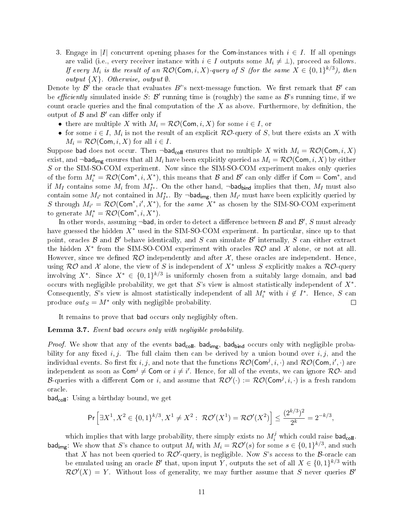3. Engage in |I| concurrent opening phases for the Com-instances with  $i \in I$ . If all openings are valid (i.e., every receiver instance with  $i \in I$  outputs some  $M_i \neq \bot$ ), proceed as follows. If every  $M_i$  is the result of an  $\mathcal{RO}(\mathsf{Com}, i, X)$ -query of S (for the same  $X \in \{0,1\}^{k/3}$ ), then output  $\{X\}$ . Otherwise, output  $\emptyset$ .

Denote by  $\mathcal{B}'$  the oracle that evaluates  $B'$ 's next-message function. We first remark that  $\mathcal{B}'$  can be *efficiently* simulated inside S:  $\mathcal{B}'$  running time is (roughly) the same as  $\mathcal{B}'$ 's running time, if we count oracle queries and the final computation of the  $X$  as above. Furthermore, by definition, the output of  $\hat{\mathcal{B}}$  and  $\hat{\mathcal{B}}'$  can differ only if

- there are multiple X with  $M_i = \mathcal{RO}(\text{Com}, i, X)$  for some  $i \in I$ , or
- for some  $i \in I$ ,  $M_i$  is not the result of an explicit  $R\mathcal{O}$ -query of S, but there exists an X with  $M_i = \mathcal{RO}(\text{Com}, i, X)$  for all  $i \in I$ .

Suppose bad does not occur. Then  $\neg$ bad<sub>coll</sub> ensures that no multiple X with  $M_i = \mathcal{RO}(\mathsf{Com}, i, X)$ exist, and  $\neg$ bad<sub>img</sub> ensures that all  $M_i$  have been explicitly queried as  $M_i = \mathcal{RO}(\mathsf{Com}, i, X)$  by either S or the SIM-SO-COM experiment. Now since the SIM-SO-COM experiment makes only queries of the form  $M_i^* = \mathcal{RO}(\text{Com}^*, i, X^*)$ , this means that  $\mathcal B$  and  $\mathcal B'$  can only differ if  $\text{Com} = \text{Com}^*$ , and if  $M_I$  contains some  $M_i$  from  $M_{I^*}^*$ . On the other hand,  $\neg$ bad<sub>bind</sub> implies that then,  $M_I$  must also contain some  $M_{i'}$  not contained in  $M_{I^*}^*$ . By ¬bad<sub>img</sub>, then  $M_{i'}$  must have been explicitly queried by S through  $M_{i'} = \mathcal{RO}(\text{Com}^*, i', X^*)$ , for the same  $X^*$  as chosen by the SIM-SO-COM experiment to generate  $M_i^* = \mathcal{RO}(\mathsf{Com}^*, i, X^*)$ .

In other words, assuming  $\neg$ bad, in order to detect a difference between  ${\mathcal B}$  and  ${\mathcal B}',$   $S$  must already have guessed the hidden  $X^*$  used in the SIM-SO-COM experiment. In particular, since up to that point, oracles  $B$  and  $B'$  behave identically, and  $S$  can simulate  $B'$  internally,  $S$  can either extract the hidden  $X^*$  from the SIM-SO-COM experiment with oracles  $\mathcal{RO}$  and  $\mathcal X$  alone, or not at all. However, since we defined  $\mathcal{RO}$  independently and after  $\mathcal{X}$ , these oracles are independent. Hence, using  $RO$  and X alone, the view of S is independent of  $X^*$  unless S explicitly makes a  $RO$ -query involving  $X^*$ . Since  $X^* \in \{0,1\}^{k/3}$  is uniformly chosen from a suitably large domain, and bad occurs with negligible probability, we get that  $S$ 's view is almost statistically independent of  $X^*$ . Consequently, S's view is almost statistically independent of all  $M_i^*$  with  $i \notin I^*$ . Hence, S can produce  $out_S = M^*$  only with negligible probability.  $\Box$ 

It remains to prove that bad occurs only negligibly often.

#### <span id="page-10-0"></span>Lemma 3.7. Event bad occurs only with negligible probability.

*Proof.* We show that any of the events  $bad_{coll}$ ,  $bad_{img}$ ,  $bad_{bind}$  occurs only with negligible probability for any fixed i, j. The full claim then can be derived by a union bound over i, j, and the individual events. So first fix  $i,j,$  and note that the functions  $\mathcal{RO}(\mathsf{Com}^j, i, \cdot)$  and  $\mathcal{RO}(\mathsf{Com}, i', \cdot)$  are independent as soon as  $\mathsf{Com}^j \neq \mathsf{Com}$  or  $i \neq i'$ . Hence, for all of the events, we can ignore  $\mathcal{RO}\text{-}$  and B-queries with a different Com or i, and assume that  $\mathcal{RO}'(\cdot) := \mathcal{RO}(\mathsf{Com}^j, i, \cdot)$  is a fresh random oracle.

bad<sub>coll</sub>: Using a birthday bound, we get

$$
\Pr\Big[\exists X^1, X^2 \in \{0, 1\}^{k/3}, X^1 \neq X^2: \ \mathcal{RO}'(X^1) = \mathcal{RO}'(X^2)\Big] \leq \frac{(2^{k/3})^2}{2^k} = 2^{-k/3},
$$

which implies that with large probability, there simply exists no  $M_i^j$  which could raise bad<sub>coll</sub>. bad<sub>img</sub>: We show that S's chance to output  $M_i$  with  $M_i = \mathcal{RO}'(s)$  for some  $s \in \{0,1\}^{k/3}$ , and such that X has not been queried to  $\mathcal{RO}'$ -query, is negligible. Now S's access to the B-oracle can be emulated using an oracle  $\mathcal{B}'$  that, upon input Y, outputs the set of all  $X \in \{0,1\}^{k/3}$  with

 $\mathcal{RO}'(X) = Y$ . Without loss of generality, we may further assume that S never queries  $\mathcal{B}'$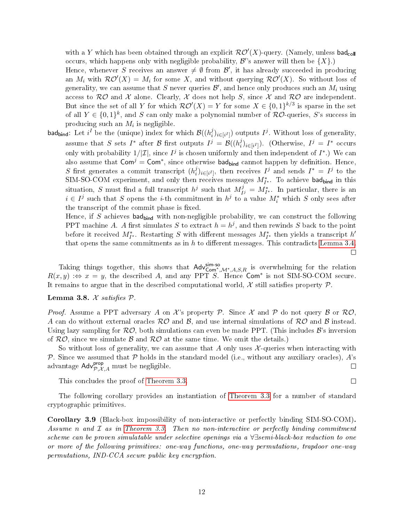with a Y which has been obtained through an explicit  $\mathcal{RO}'(X)$ -query. (Namely, unless bad<sub>coll</sub> occurs, which happens only with negligible probability,  $\mathcal{B}$ 's answer will then be  $\{X\}$ .)

Hence, whenever S receives an answer  $\neq \emptyset$  from  $\mathcal{B}',$  it has already succeeded in producing an  $M_i$  with  $\mathcal{RO}'(X) = M_i$  for some X, and without querying  $\mathcal{RO}'(X)$ . So without loss of generality, we can assume that  $S$  never queries  $\mathcal{B}',$  and hence only produces such an  $M_i$  using access to  $\mathcal{RO}$  and X alone. Clearly, X does not help S, since X and  $\mathcal{RO}$  are independent. But since the set of all Y for which  $\mathcal{RO}'(X) = Y$  for some  $X \in \{0,1\}^{k/3}$  is sparse in the set of all  $Y \in \{0,1\}^k$ , and S can only make a polynomial number of  $\mathcal{RO}$ -queries, S's success in producing such an  $M_i$  is negligible.

bad $_{\sf bind}$ : Let  $i^I$  be the (unique) index for which  $\mathcal{B}((h_i^j$  $\binom{j}{i}$ <sub>i</sub> $\in$ <sub>[i</sub> $I$ ]) outputs  $I^j$ . Without loss of generality, assume that S sets  $I^*$  after B first outputs  $I^j = \mathcal{B}((h_i^j))$  $\binom{j}{i}{}_{i\in[i^I]})$ . (Otherwise,  $I^j = I^*$  occurs only with probability  $1/|\mathcal{I}|$ , since  $I^j$  is chosen uniformly and then independent of  $I^*$ .) We can also assume that  $Com^j = Com^*$ , since otherwise bad<sub>bind</sub> cannot happen by definition. Hence, S first generates a commit transcript  $(h_i^j)$  $i^j_{i}$ <sub>i</sub> $\in$ <sub>[i<sup>I</sup></sup>]</sub>, then receives  $I^j$  and sends  $I^* = I^j$  to the SIM-SO-COM experiment, and only then receives messages  $M^*_{I^*}$ . To achieve bad<sub>bind</sub> in this situation, S must find a full transcript  $h^j$  such that  $M_I^j$  $I_{Ij}^{j} = M_{I^*}^*$ . In particular, there is an  $i \in I^j$  such that S opens the *i*-th commitment in  $h^j$  to a value  $M_i^*$  which S only sees after the transcript of the commit phase is fixed.

Hence, if S achieves bad<sub>bind</sub> with non-negligible probability, we can construct the following PPT machine A. A first simulates S to extract  $h = h^j$ , and then rewinds S back to the point before it received  $M^*_{I^*}$ . Restarting S with different messages  $M^*_{I^*}$  then yields a transcript  $h'$ that opens the same commitments as in  $h$  to different messages. This contradicts [Lemma 3.4.](#page-8-0)  $\Box$ 

Taking things together, this shows that  $\mathsf{Adv}^{\mathsf{sim-so}}_{\mathsf{Com}^*,\mathcal{M}^*,A,S,R}$  is overwhelming for the relation  $R(x, y) \Leftrightarrow x = y$ , the described A, and any PPT S. Hence Com<sup>\*</sup> is not SIM-SO-COM secure. It remains to argue that in the described computational world,  $\mathcal X$  still satisfies property  $\mathcal P$ .

#### Lemma 3.8.  $X$  satisfies  $P$ .

*Proof.* Assume a PPT adversary A on X's property P. Since X and P do not query B or  $\mathcal{RO}$ . A can do without external oracles  $R\mathcal{O}$  and  $\mathcal{B}$ , and use internal simulations of  $R\mathcal{O}$  and  $\mathcal{B}$  instead. Using lazy sampling for  $\mathcal{RO}$ , both simulations can even be made PPT. (This includes  $\mathcal{B}$ 's inversion of  $RO$ , since we simulate B and  $RO$  at the same time. We omit the details.)

So without loss of generality, we can assume that A only uses  $\mathcal{X}$ -queries when interacting with P. Since we assumed that P holds in the standard model (i.e., without any auxiliary oracles),  $A$ 's advantage  $\mathsf{Adv}_{\mathcal{P},\mathcal{X},A}^{\mathsf{prop}}$  must be negligible.  $\Box$ 

This concludes the proof of [Theorem 3.3.](#page-7-1)

 $\Box$ 

The following corollary provides an instantiation of [Theorem 3.3](#page-7-1) for a number of standard cryptographic primitives.

<span id="page-11-0"></span>Corollary 3.9 (Black-box impossibility of non-interactive or perfectly binding SIM-SO-COM). Assume n and  $\mathcal I$  as in [Theorem 3.3.](#page-7-1) Then no non-interactive or perfectly binding commitment scheme can be proven simulatable under selective openings via a ∀∃semi-black-box reduction to one or more of the following primitives: one-way functions, one-way permutations, trapdoor one-way permutations, IND-CCA secure public key encryption.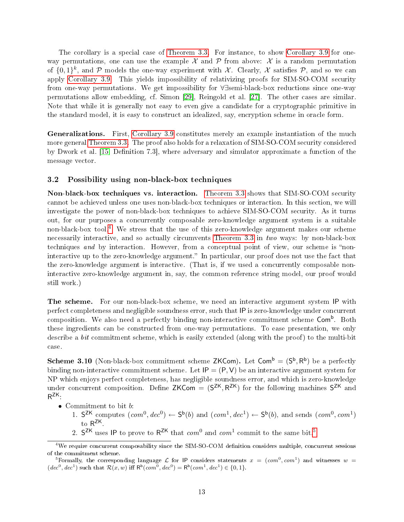The corollary is a special case of [Theorem 3.3.](#page-7-1) For instance, to show [Corollary 3.9](#page-11-0) for oneway permutations, one can use the example  $\mathcal X$  and  $\mathcal P$  from above:  $\mathcal X$  is a random permutation of  $\{0,1\}^k$ , and  $P$  models the one-way experiment with X. Clearly, X satisfies  $P$ , and so we can apply [Corollary 3.9.](#page-11-0) This yields impossibility of relativizing proofs for SIM-SO-COM security from one-way permutations. We get impossibility for ∀∃semi-black-box reductions since one-way permutations allow embedding, cf. Simon [\[29\]](#page-30-9), Reingold et al. [\[27\]](#page-30-8). The other cases are similar. Note that while it is generally not easy to even give a candidate for a cryptographic primitive in the standard model, it is easy to construct an idealized, say, encryption scheme in oracle form.

Generalizations. First, [Corollary 3.9](#page-11-0) constitutes merely an example instantiation of the much more general [Theorem 3.3.](#page-7-1) The proof also holds for a relaxation of SIM-SO-COM security considered by Dwork et al. [\[15,](#page-29-0) Definition 7.3], where adversary and simulator approximate a function of the message vector.

#### <span id="page-12-2"></span>3.2 Possibility using non-black-box techniques

Non-black-box techniques vs. interaction. [Theorem 3.3](#page-7-1) shows that SIM-SO-COM security cannot be achieved unless one uses non-black-box techniques or interaction. In this section, we will investigate the power of non-black-box techniques to achieve SIM-SO-COM security. As it turns out, for our purposes a concurrently composable zero-knowledge argument system is a suitable non-black-box tool.<sup>[4](#page-12-0)</sup> We stress that the use of this zero-knowledge argument makes our scheme necessarily interactive, and so actually circumvents [Theorem 3.3](#page-7-1) in two ways: by non-black-box techniques and by interaction. However, from a conceptual point of view, our scheme is "noninteractive up to the zero-knowledge argument." In particular, our proof does not use the fact that the zero-knowledge argument is interactive. (That is, if we used a concurrently composable noninteractive zero-knowledge argument in, say, the common reference string model, our proof would still work.)

The scheme. For our non-black-box scheme, we need an interactive argument system IP with perfect completeness and negligible soundness error, such that IP is zero-knowledge under concurrent composition. We also need a perfectly binding non-interactive commitment scheme Com<sup>b</sup>. Both these ingredients can be constructed from one-way permutations. To ease presentation, we only describe a *bit* commitment scheme, which is easily extended (along with the proof) to the multi-bit case.

**Scheme 3.10** (Non-black-box commitment scheme ZKCom). Let  $\mathsf{Com}^{\mathsf{b}} = (\mathsf{S}^{\mathsf{b}}, \mathsf{R}^{\mathsf{b}})$  be a perfectly binding non-interactive commitment scheme. Let  $IP = (P, V)$  be an interactive argument system for NP which enjoys perfect completeness, has negligible soundness error, and which is zero-knowledge under concurrent composition. Define ZKCom =  $(S^{ZK}, R^{ZK})$  for the following machines  $S^{ZK}$  and  $R^{ZK}$ .

- $\bullet~$  Commitment to bit  $b\colon$ 
	- 1.  $S^{ZK}$  computes  $(\text{com}^0, \text{dec}^0) \leftarrow S^{\mathsf{b}}(b)$  and  $(\text{com}^1, \text{dec}^1) \leftarrow S^{\mathsf{b}}(b)$ , and sends  $(\text{com}^0, \text{com}^1)$ to R<sup>ZK</sup>.
	- 2.  $S^{ZK}$  uses IP to prove to  $R^{ZK}$  that  $com^0$  and  $com^1$  commit to the same bit.<sup>[5](#page-12-1)</sup>

<span id="page-12-0"></span><sup>&</sup>lt;sup>4</sup>We require concurrent composability since the SIM-SO-COM definition considers multiple, concurrent sessions of the commitment scheme.

<span id="page-12-1"></span><sup>&</sup>lt;sup>5</sup>Formally, the corresponding language  $\mathcal L$  for IP considers statements  $x = (com^0, com^1)$  and witnesses  $w =$  $(de^{0}, dec^{1})$  such that  $\mathcal{R}(x, w)$  iff  $\mathsf{R}^{\mathsf{b}}(com^{0}, dec^{0}) = \mathsf{R}^{\mathsf{b}}(com^{1}, dec^{1}) \in \{0, 1\}.$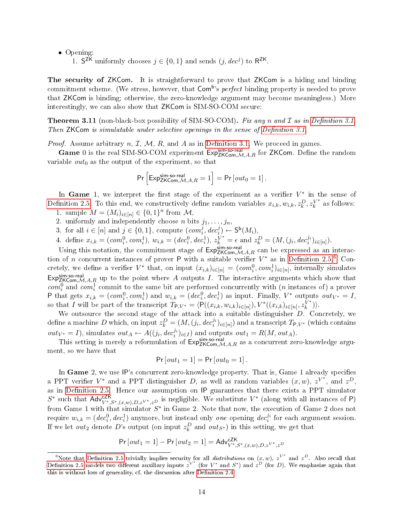• Opening:

1. S<sup>ZK</sup> uniformly chooses  $j \in \{0,1\}$  and sends  $(j, dec^j)$  to R<sup>ZK</sup>.

The security of ZKCom. It is straightforward to prove that ZKCom is a hiding and binding commitment scheme. (We stress, however, that Com<sup>b</sup>'s *perfect* binding property is needed to prove that ZKCom is binding; otherwise, the zero-knowledge argument may become meaningless.) More interestingly, we can also show that ZKCom is SIM-SO-COM secure:

<span id="page-13-0"></span>**Theorem 3.11** (non-black-box possibility of SIM-SO-COM). Fix any n and  $\mathcal I$  as in Definition 3.1. Then  $ZKCom$  is simulatable under selective openings in the sense of Definition 3.1.

*Proof.* Assume arbitrary  $n, \mathcal{I}, \mathcal{M}, R$ , and A as in Definition 3.1. We proceed in games.

Game 0 is the real SIM-SO-COM experiment  $Exp^{sim-so-real}_{ZKCom, \mathcal{M}, A, R}$  for ZKCom. Define the random variable  $out_0$  as the output of the experiment, so that

$$
\Pr\Big[\mathsf{Exp}^\mathsf{sim\text{-}so\text{-}real}_{\mathsf{ZKCom},{\mathcal M},A,R}=1\Big]=\Pr\big[\mathit{out}_0=1\big]\,.
$$

In Game 1, we interpret the first stage of the experiment as a verifier  $V^*$  in the sense of Definition 2.5. To this end, we constructively define random variables  $x_{i,k}, w_{i,k}, z_k^D, z_k^{V^*}$  $k^*$  as follows:

- 1. sample  $M = (M_i)_{i \in [n]} \in \{0, 1\}^n$  from  $\mathcal{M}$ ,
- 2. uniformly and independently choose *n* bits  $j_1, \ldots, j_n$ ,
- 3. for all  $i \in [n]$  and  $j \in \{0, 1\}$ , compute  $(com_i^j)$  $\overline{j}$ ,  $dec_i^j$ )  $\leftarrow$   $S^{\mathsf{b}}(M_i)$ ,

4. define  $x_{i,k} = (com_i^0, com_i^1), w_{i,k} = (dec_i^0, dec_i^1), z_k^{V^*} = \epsilon$  and  $z_k^D = (M, (j_i, dec_i^i)_{i \in [n]})$ .

Using this notation, the commitment stage of  $Exp^{sim}_{ZKCom, M, A, R}$  can be expressed as an interaction of *n* concurrent instances of prover P with a suitable verifier  $V^*$  as in Definition 2.5.<sup>[6](#page-13-1)</sup> Concretely, we define a verifier  $V^*$  that, on input  $(x_{i,k})_{i\in[n]} = (com_i^0, com_i^1)_{i\in[n]},$  internally simulates Expsim-so-real<br>Exp<sub>ZKCom,</sub> $M$ , A,R up to the point where A outputs I. The interactive arguments which show that  $com_i^0$  and  $com_i^1$  commit to the same bit are performed concurrently with  $(n$  instances of) a prover P that gets  $x_{i,k} = (com_i^0, com_i^1)$  and  $w_{i,k} = (dec_i^0, dec_i^1)$  as input. Finally,  $V^*$  outputs  $out_{V^*} = I$ , so that I will be part of the transcript  $T_{\mathsf{P},V^*} = \langle \mathsf{P}((x_{i,k}, w_{i,k})_{i \in [n]}) , V^*((x_{i,k})_{i \in [n]}, z_k^{\overline{V}^*}) \rangle$  $\binom{V^*}{k}$ .

We outsource the second stage of the attack into a suitable distinguisher  $D$ . Concretely, we define a machine  $D$  which, on input  $z_k^D = (M,(j_i,dec_i^{j_i})_{i\in[n]})$  and a transcript  $T_{\mathsf P,V^*}$  (which contains out<sub>V</sub><sup>\*</sup> = I), simulates out<sub>A</sub> ←  $A((j_i, dec_i^{j_i})_{i \in I})$  and outputs out<sub>1</sub> =  $R(M, out_A)$ .

This setting is merely a reformulation of  $Exp^{sim}_{ZKCom, M, A, R}$  as a concurrent zero-knowledge argument, so we have that

$$
Pr\left[out_1=1\right]=Pr\left[out_0=1\right].
$$

In Game 2, we use IP's concurrent zero-knowledge property. That is, Game 1 already specifies a PPT verifier  $V^*$  and a PPT distinguisher D, as well as random variables  $(x, w)$ ,  $z^{V^*}$ , and  $z^D$ , as in Definition 2.5. Hence our assumption on IP guarantees that there exists a PPT simulator  $S^*$  such that  $\mathsf{Adv}_{V^*,S^*,(x,w),D,z^{V^*,},z^D}^{ZK}$  is negligible. We substitute  $V^*$  (along with all instances of P) from Game 1 with that simulator  $S^*$  in Game 2. Note that now, the execution of Game 2 does not require  $w_{i,k} = (dec_i^0, dec_i^1)$  anymore, but instead only *one* opening  $dec_i^{j_i}$  for each argument session. If we let  $out_2$  denote D's output (on input  $z_k^D$  and  $out_{S^*}$ ) in this setting, we get that

$$
\Pr\left[out_1 = 1\right] - \Pr\left[out_2 = 1\right] = \mathsf{Adv}_{V^*,S^*,(x,w),D,z^{V^*,}z^D}^{\mathsf{CK}}
$$

<span id="page-13-1"></span><sup>&</sup>lt;sup>6</sup>Note that Definition 2.5 trivially implies security for all *distributions* on  $(x, w)$ ,  $z^{V^*}$  and  $z^D$ . Also recall that Definition 2.5 models two different auxiliary inputs  $z^{V^*}$  (for  $V^*$  and  $S^*$ ) and  $z^{D'}$  (for D). We emphasize again that this is without loss of generality, cf. the discussion after Definition 2.4.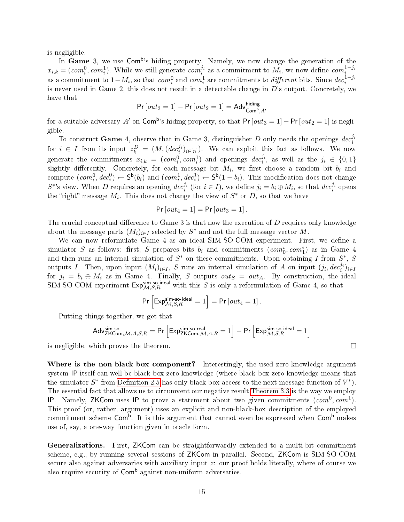is negligible.

In Game 3, we use Com<sup>b</sup>'s hiding property. Namely, we now change the generation of the  $x_{i,k} = (com_i^0, com_i^1)$ . While we still generate  $com_i^{j_i}$  as a commitment to  $M_i$ , we now define  $com_i^{1-j_i}$ as a commitment to  $1-M_i,$  so that  $com_i^0$  and  $com_i^1$  are commitments to  $\mathit{different}$  bits. Since  $\mathit{dec}_i^{1-j_i}$ is never used in Game 2, this does not result in a detectable change in D's output. Concretely, we have that

$$
Pr[out_3 = 1] - Pr[out_2 = 1] = Adv^{hiding}_{Comb,A'}
$$

for a suitable adversary  $A'$  on  $\mathsf{Com}^\mathsf{b}$ 's hiding property, so that  $\mathsf{Pr}\left[out_3 = 1\right] - \mathsf{Pr}\left[out_2 = 1\right]$  is negligible.

To construct Game 4, observe that in Game 3, distinguisher D only needs the openings  $dec_i^{j_i}$ for  $i \in I$  from its input  $z_k^D = (M, (dec_i^{j_i})_{i \in [n]})$ . We can exploit this fact as follows. We now generate the commitments  $x_{i,k} = (com_i^0, com_i^1)$  and openings  $dec_i^{j_i}$ , as well as the  $j_i \in \{0,1\}$ slightly differently. Concretely, for each message bit  $M_i$ , we first choose a random bit  $b_i$  and compute  $(com_i^0, dec_i^0) \leftarrow S^b(b_i)$  and  $(com_i^1, dec_i^1) \leftarrow S^b(1-b_i)$ . This modification does not change  $S^*$ 's view. When D requires an opening  $dec_i^{j_i}$  (for  $i \in I$ ), we define  $j_i = b_i \oplus M_i$ , so that  $dec_i^{j_i}$  opens the "right" message  $M_i$ . This does not change the view of  $S^*$  or D, so that we have

$$
\Pr\left[out_4=1\right]=\Pr\left[out_3=1\right].
$$

The crucial conceptual difference to Game  $3$  is that now the execution of  $D$  requires only knowledge about the message parts  $(M_i)_{i\in I}$  selected by  $S^*$  and not the full message vector  $M$ .

We can now reformulate Game 4 as an ideal SIM-SO-COM experiment. First, we define a simulator S as follows: first, S prepares bits  $b_i$  and commitments  $(com_0^i, com_1^i)$  as in Game 4 and then runs an internal simulation of  $S^*$  on these commitments. Upon obtaining I from  $S^*$ , S outputs I. Then, upon input  $(M_i)_{i\in I}$ , S runs an internal simulation of A on input  $(j_i,dec_i^{j_i})_{i\in I}$ for  $j_i = b_i \oplus M_i$  as in Game 4. Finally, S outputs  $out_S = out_A$ . By construction, the ideal SIM-SO-COM experiment  $Exp_{M,S,R}^{\text{sim-so-ideal}}$  with this S is only a reformulation of Game 4, so that

$$
\Pr\left[\text{Exp}^{\text{sim-so-ideal}}_{\mathcal{M},S,R}=1\right]=\Pr\left[out_4=1\right].
$$

Putting things together, we get that

$$
\mathsf{Adv}^{\mathsf{sim-so}}_{\mathsf{ZKCom},\mathcal{M},A,S,R} = \mathsf{Pr}\left[ \mathsf{Exp}^{\mathsf{sim-so}\text{-}\mathsf{real}}_{\mathsf{ZKCom},\mathcal{M},A,R} = 1 \right] - \mathsf{Pr}\left[ \mathsf{Exp}^{\mathsf{sim-so}\text{-}\mathsf{ideal}}_{\mathcal{M},S,R} = 1 \right]
$$

 $\Box$ 

is negligible, which proves the theorem.

Where is the non-black-box component? Interestingly, the used zero-knowledge argument system IP itself can well be black-box zero-knowledge (where black-box zero-knowledge means that the simulator  $S^*$  from Definition 2.5 has only black-box access to the next-message function of  $V^*$ ). The essential fact that allows us to circumvent our negative result [Theorem 3.3](#page-7-1) is the way we employ IP. Namely, ZKCom uses IP to prove a statement about two given commitments  $(\text{com}^0, \text{com}^1)$ . This proof (or, rather, argument) uses an explicit and non-black-box description of the employed commitment scheme  $\mathsf{Com}^\mathsf{b}$ . It is this argument that cannot even be expressed when  $\mathsf{Com}^\mathsf{b}$  makes use of, say, a one-way function given in oracle form.

Generalizations. First, ZKCom can be straightforwardly extended to a multi-bit commitment scheme, e.g., by running several sessions of ZKCom in parallel. Second, ZKCom is SIM-SO-COM secure also against adversaries with auxiliary input z: our proof holds literally, where of course we also require security of  $\mathsf{Com}^\mathsf{b}$  against non-uniform adversaries.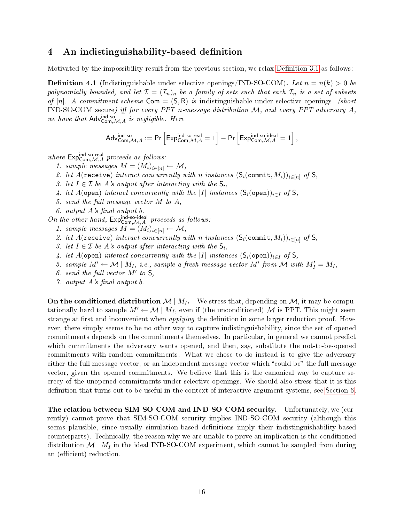### <span id="page-15-0"></span>4 An indistinguishability-based definition

<span id="page-15-1"></span>Motivated by the impossibility result from the previous section, we relax Definition 3.1 as follows:

**Definition 4.1** (Indistinguishable under selective openings/IND-SO-COM). Let  $n = n(k) > 0$  be polynomially bounded, and let  $\mathcal{I} = (\mathcal{I}_n)_n$  be a family of sets such that each  $\mathcal{I}_n$  is a set of subsets of [n]. A commitment scheme  $Com = (S, R)$  is indistinguishable under selective openings (short IND-SO-COM secure) iff for every PPT n-message distribution  $M$ , and every PPT adversary  $A$ , by [n]. A commument scheme Com =  $(S, K)$  is 1<br>
IND-SO-COM secure) iff for every PPT n-messo<br>
we have that Adv<sup>ind-so</sup><br>
Adv<sup>ind-so</sup><br>
Adv<sub>Com</sub>,M,A := Pr  $\left[Exp_{\text{Com}}^{\text{ind-so}}\right]$ 

$$
A \text{dv}_{\text{Com},\mathcal{M},A}^{\text{ind-so.} \text{regular}} := \Pr \left[ \text{Exp}_{\text{Com},\mathcal{M},A}^{\text{ind-so-real}} = 1 \right] - \Pr \left[ \text{Exp}_{\text{Com},\mathcal{M},A}^{\text{ind-so-ideal}} = 1 \right],
$$

 $A^{AVCom, M, A}$  :  $\blacksquare$ <br>where  $Exp_{Com, M, A}^{Ind-so-real}$  proceeds as follows:

1. sample messages  $M = (M_i)_{i \in [n]} \leftarrow \mathcal{M},$ 

2. let  $A$ (receive) interact concurrently with n instances  $(S_i(\text{commit}, M_i))_{i \in [n]}$  of S,

3. let  $I \in \mathcal{I}$  be A's output after interacting with the  $\mathsf{S}_i$ ,

- 4. let A(open) interact concurrently with the |I| instances  $(S_i(\text{open}))_{i\in I}$  of S,
- 5. send the full message vector M to A,
- 6. output  $A$ 's final output  $b$ .

5. sena the full message vector  $M$  to  $A$ ,<br>
6. output  $A$ 's final output  $b$ .<br>
On the other hand,  $Exp_{Com, \mathcal{M}, A}^{ind-so-ideal}$  proceeds as follows:

- 1. sample messages  $M = (M_i)_{i \in [n]} \leftarrow \mathcal{M},$
- 2. let A(receive) interact concurrently with n instances  $(S_i(\text{commit}, M_i))_{i \in [n]}$  of S,
- 3. let  $I \in \mathcal{I}$  be A's output after interacting with the  $\mathsf{S}_i$ ,
- 4. let A(open) interact concurrently with the |I| instances  $(S_i(\text{open}))_{i\in I}$  of S,
- 5. sample  $M' \leftarrow M \mid M_I$ , i.e., sample a fresh message vector M' from M with  $M'_I = M_I$ ,
- 6. send the full vector  $M'$  to  $S$ ,
- $\gamma$  output A's final output b.

On the conditioned distribution  $\mathcal{M} \mid M_I$ . We stress that, depending on  $\mathcal{M}$ , it may be computationally hard to sample  $M' \leftarrow M | M_I$ , even if (the unconditioned) M is PPT. This might seem strange at first and inconvenient when *applying* the definition in some larger reduction proof. However, there simply seems to be no other way to capture indistinguishability, since the set of opened commitments depends on the commitments themselves. In particular, in general we cannot predict which commitments the adversary wants opened, and then, say, substitute the not-to-be-opened commitments with random commitments. What we chose to do instead is to give the adversary either the full message vector, or an independent message vector which "could be" the full message vector, given the opened commitments. We believe that this is the canonical way to capture secrecy of the unopened commitments under selective openings. We should also stress that it is this definition that turns out to be useful in the context of interactive argument systems, see [Section 6.](#page-24-0)

The relation between SIM-SO-COM and IND-SO-COM security. Unfortunately, we (currently) cannot prove that SIM-SO-COM security implies IND-SO-COM security (although this seems plausible, since usually simulation-based denitions imply their indistinguishability-based counterparts). Technically, the reason why we are unable to prove an implication is the conditioned distribution  $\mathcal{M}$  |  $M_I$  in the ideal IND-SO-COM experiment, which cannot be sampled from during an (efficient) reduction.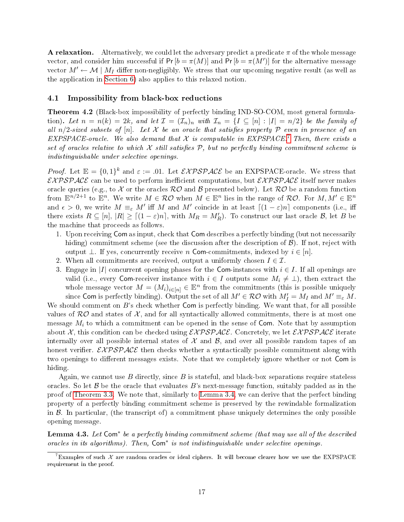**A relaxation.** Alternatively, we could let the adversary predict a predicate  $\pi$  of the whole message vector, and consider him successful if  $Pr[b = \pi(M)]$  and  $Pr[b = \pi(M')]$  for the alternative message vector  $M' \leftarrow M | M_I$  differ non-negligibly. We stress that our upcoming negative result (as well as the application in [Section 6\)](#page-24-0) also applies to this relaxed notion.

#### 4.1 Impossibility from black-box reductions

<span id="page-16-2"></span>Theorem 4.2 (Black-box impossibility of perfectly binding IND-SO-COM, most general formulation). Let  $n = n(k) = 2k$ , and let  $\mathcal{I} = (\mathcal{I}_n)_n$  with  $\mathcal{I}_n = \{I \subseteq [n] : |I| = n/2\}$  be the family of all  $n/2$ -sized subsets of  $[n]$ . Let X be an oracle that satisfies property P even in presence of an EXPSPACE-oracle. We also demand that  $\mathcal X$  is computable in EXPSPACE.<sup>[7](#page-16-0)</sup> Then, there exists a set of oracles relative to which  $\mathcal X$  still satisfies  $\mathcal P$ , but no perfectly binding commitment scheme is indistinguishable under selective openings.

*Proof.* Let  $\mathbb{E} = \{0,1\}^k$  and  $\varepsilon := .01$ . Let  $\mathcal{EXPSPACE}$  be an EXPSPACE-oracle. We stress that  $EXPSPACE$  can be used to perform inefficient computations, but  $EXPSPACE$  itself never makes oracle queries (e.g., to X or the oracles  $R\mathcal{O}$  and B presented below). Let  $R\mathcal{O}$  be a random function from  $\mathbb{E}^{n/2+1}$  to  $\mathbb{E}^n$ . We write  $M \in \mathcal{RO}$  when  $M \in \mathbb{E}^n$  lies in the range of  $\mathcal{RO}$ . For  $M, M' \in \mathbb{E}^n$ and  $\epsilon > 0$ , we write  $M \equiv_{\varepsilon} M'$  iff M and M' coincide in at least  $\lceil (1 - \varepsilon)n \rceil$  components (i.e., iff there exists  $R \subseteq [n]$ ,  $|R| \ge [(1 - \varepsilon)n]$ , with  $M_R = M_R'$ ). To construct our last oracle  $\mathcal{B}$ , let  $B$  be the machine that proceeds as follows.

- 1. Upon receiving Com as input, check that Com describes a perfectly binding (but not necessarily hiding) commitment scheme (see the discussion after the description of  $\mathcal{B}$ ). If not, reject with output  $\perp$ . If yes, concurrently receive n Com-commitments, indexed by  $i \in [n]$ .
- 2. When all commitments are received, output a uniformly chosen  $I \in \mathcal{I}$ .
- 3. Engage in |I| concurrent opening phases for the Com-instances with  $i \in I$ . If all openings are valid (i.e., every Com-receiver instance with  $i \in I$  outputs some  $M_i \neq \bot$ ), then extract the whole message vector  $M = (M_i)_{i \in [n]} \in \mathbb{E}^n$  from the commitments (this is possible uniquely since Com is perfectly binding). Output the set of all  $M' \in \mathcal{RO}$  with  $M'_I = M_I$  and  $M' \equiv_{\varepsilon} M$ .

We should comment on  $B$ 's check whether Com is perfectly binding. We want that, for all possible values of  $\mathcal{RO}$  and states of  $\mathcal{X}$ , and for all syntactically allowed commitments, there is at most one message  $M_i$  to which a commitment can be opened in the sense of Com. Note that by assumption about X, this condition can be checked using  $\mathcal{EXPSPACE}$ . Concretely, we let  $\mathcal{EXPSPACE}$  iterate internally over all possible internal states of  $\mathcal X$  and  $\mathcal B$ , and over all possible random tapes of an honest verifier.  $\mathcal{EXPSPACE}$  then checks whether a syntactically possible commitment along with two openings to different messages exists. Note that we completely ignore whether or not Com is hiding.

Again, we cannot use B directly, since B is stateful, and black-box separations require stateless oracles. So let  $\beta$  be the oracle that evaluates B's next-message function, suitably padded as in the proof of [Theorem 3.3.](#page-7-1) We note that, similarly to [Lemma 3.4,](#page-8-0) we can derive that the perfect binding property of a perfectly binding commitment scheme is preserved by the rewindable formalization in  $\beta$ . In particular, (the transcript of) a commitment phase uniquely determines the only possible opening message.

<span id="page-16-1"></span>**Lemma 4.3.** Let  $Com^*$  be a perfectly binding commitment scheme (that may use all of the described oracles in its algorithms). Then, Com<sup>\*</sup> is not indistinguishable under selective openings.

<span id="page-16-0"></span> $^7$ Examples of such  $\mathcal X$  are random oracles or ideal ciphers. It will become clearer how we use the EXPSPACE requirement in the proof.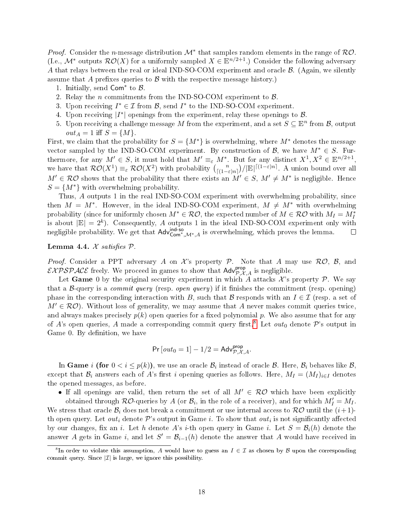*Proof.* Consider the *n*-message distribution  $\mathcal{M}^*$  that samples random elements in the range of  $\mathcal{RO}$ . (I.e.,  $\mathcal{M}^*$  outputs  $\mathcal{RO}(X)$  for a uniformly sampled  $X \in \mathbb{E}^{n/2+1}$ .) Consider the following adversary A that relays between the real or ideal IND-SO-COM experiment and oracle  $\beta$ . (Again, we silently assume that A prefixes queries to  $\mathcal B$  with the respective message history.)

- 1. Initially, send  $Com^*$  to  $B$ .
- 2. Relay the *n* commitments from the IND-SO-COM experiment to  $\beta$ .
- 3. Upon receiving  $I^* \in \mathcal{I}$  from  $\mathcal{B}$ , send  $I^*$  to the IND-SO-COM experiment.
- 4. Upon receiving  $|I^*|$  openings from the experiment, relay these openings to  $\mathcal{B}$ .
- 5. Upon receiving a challenge message  $M$  from the experiment, and a set  $S \subseteq \mathbb{E}^n$  from  $\mathcal{B}$ , output  $out_A = 1$  iff  $S = \{M\}.$

First, we claim that the probability for  $S = \{M^*\}\$ is overwhelming, where  $M^*$  denotes the message vector sampled by the IND-SO-COM experiment. By construction of  $\mathcal{B}$ , we have  $M^* \in S$ . Furthermore, for any  $M' \in S$ , it must hold that  $M' \equiv_{\varepsilon} M^*$ . But for any distinct  $X^1, X^2 \in \mathbb{E}^{n/2+1}$ , we have that  $\mathcal{RO}(X^1) \equiv_{\varepsilon} \mathcal{RO}(X^2)$  with probability  $\binom{n}{\lceil n \rceil}$  $\binom{n}{(1-\varepsilon)n}$ / $|\mathbb{E}|^{[(1-\varepsilon)n]}$ . A union bound over all  $M' \in \mathcal{RO}$  shows that the probability that there exists an  $M' \in S$ ,  $M' \neq M^*$  is negligible. Hence  $S = \{M^*\}\$  with overwhelming probability.

Thus, A outputs 1 in the real IND-SO-COM experiment with overwhelming probability, since then  $M = M^*$ . However, in the ideal IND-SO-COM experiment,  $M \neq M^*$  with overwhelming probability (since for uniformly chosen  $M^* \in \mathcal{RO}$ , the expected number of  $M \in \mathcal{RO}$  with  $M_I = M_I^*$ is about  $|\mathbb{E}| = 2^k$ ). Consequently, A outputs 1 in the ideal IND-SO-COM experiment only with negligible probability. We get that  $Adv_{Com^*,\mathcal{M}^*,A}^{\text{ind-so}}$  is overwhelming, which proves the lemma.  $\Box$ 

#### <span id="page-17-1"></span>Lemma 4.4.  $X$  satisfies  $P$ .

*Proof.* Consider a PPT adversary A on X's property P. Note that A may use  $\mathcal{RO}, \mathcal{B}$ , and  $\mathcal{EXPSPACE}$  freely. We proceed in games to show that  $\mathsf{Adv}_{\mathcal{P},\mathcal{X},A}^{\text{prop}}$  is negligible.

Let Game 0 by the original security experiment in which A attacks  $\mathcal{X}$ 's property  $\mathcal{P}$ . We say that a B-query is a *commit query* (resp. *open query*) if it finishes the commitment (resp. opening) phase in the corresponding interaction with B, such that B responds with an  $I \in \mathcal{I}$  (resp. a set of  $M' \in \mathcal{RO}$ . Without loss of generality, we may assume that A never makes commit queries twice. and always makes precisely  $p(k)$  open queries for a fixed polynomial p. We also assume that for any of A's open queries, A made a corresponding commit query first.<sup>[8](#page-17-0)</sup> Let  $out_0$  denote P's output in Game 0. By definition, we have

$$
\Pr\left[\text{out}_0 = 1\right] - 1/2 = \mathsf{Adv}_{\mathcal{P},\mathcal{X},A}^{\text{prop}}.
$$

In  $\bf{Game}$   $i$   $(\bf{for}$   $0 < i \leq p(k)),$  we use an oracle  $\mathcal{B}_i$  instead of oracle  $\mathcal{B}.$  Here,  $\mathcal{B}_i$  behaves like  $\mathcal{B},$ except that  $\mathcal{B}_i$  answers each of A's first i opening queries as follows. Here,  $M_I = (M_I)_{i \in I}$  denotes the opened messages, as before.

• If all openings are valid, then return the set of all  $M' \in \mathcal{RO}$  which have been explicitly

obtained through  $R\mathcal{O}$ -queries by A (or  $\mathcal{B}_i$ , in the role of a receiver), and for which  $M'_I = M_I$ . We stress that oracle  $\mathcal{B}_i$  does not break a commitment or use internal access to  $\mathcal{RO}$  until the  $(i+1)$ th open query. Let  $\mathit{out}_i$  denote  $\mathcal P$ 's output in Game  $i.$  To show that  $\mathit{out}_i$  is not significantly affected by our changes, fix an i. Let h denote A's i-th open query in Game i. Let  $S = \mathcal{B}_i(h)$  denote the answer A gets in Game i, and let  $S' = \mathcal{B}_{i-1}(h)$  denote the answer that A would have received in

<span id="page-17-0"></span><sup>&</sup>lt;sup>8</sup>In order to violate this assumption, A would have to guess an  $I \in \mathcal{I}$  as chosen by  $\mathcal B$  upon the corresponding commit query. Since  $|\mathcal{I}|$  is large, we ignore this possibility.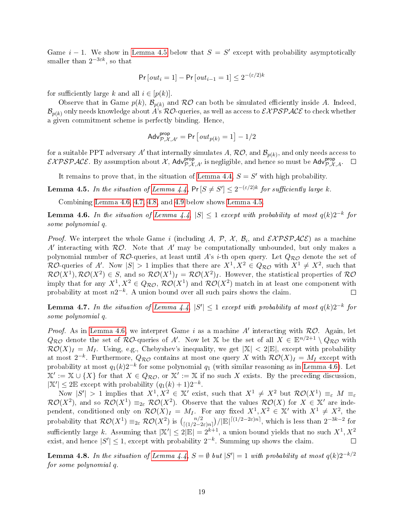Game  $i-1$ . We show in [Lemma 4.5](#page-18-0) below that  $S = S'$  except with probability asymptotically smaller than  $2^{-3\varepsilon k},$  so that

$$
Pr\left[out_i = 1\right] - Pr\left[out_{i-1} = 1\right] \le 2^{-(\varepsilon/2)k}
$$

for sufficiently large k and all  $i \in [p(k)]$ .

Observe that in Game  $p(k)$ ,  $\mathcal{B}_{p(k)}$  and  $\mathcal{RO}$  can both be simulated efficiently inside A. Indeed,  $\mathcal{B}_{p(k)}$  only needs knowledge about A's RO-queries, as well as access to  $\mathcal{EXPSPACE}$  to check whether a given commitment scheme is perfectly binding. Hence,

$$
\mathsf{Adv}_{\mathcal{P},\mathcal{X},A'}^{\mathsf{prop}} = \mathsf{Pr}\left[\mathit{out}_{p(k)} = 1\right] - 1/2
$$

for a suitable PPT adversary  $A'$  that internally simulates  $A,$   $\mathcal{RO},$  and  $\mathcal{B}_{p(k)},$  and only needs access to  $\mathcal{EXPSPACE}$ . By assumption about  $\mathcal{X}$ , Adv $_{\mathcal{P},\mathcal{X},A'}^{prop}$  is negligible, and hence so must be Adv $_{\mathcal{P},\mathcal{X},A}^{prop}$ .  $\Box$ 

It remains to prove that, in the situation of [Lemma 4.4,](#page-17-1)  $S = S'$  with high probability.

<span id="page-18-0"></span>**Lemma 4.5.** In the situation of [Lemma 4.4,](#page-17-1)  $Pr[S \neq S'] \leq 2^{-(\epsilon/2)k}$  for sufficiently large k.

Combining [Lemma 4.6,](#page-18-1) [4.7,](#page-18-2) [4.8,](#page-18-3) and [4.9](#page-20-0) below shows [Lemma 4.5.](#page-18-0)

<span id="page-18-1"></span>**Lemma 4.6.** In the situation of [Lemma 4.4,](#page-17-1)  $|S| \leq 1$  except with probability at most  $q(k)2^{-k}$  for some polynomial q.

*Proof.* We interpret the whole Game i (including A, P, X,  $\mathcal{B}_i$ , and  $\mathcal{EXPSPACE}$ ) as a machine A' interacting with  $R\mathcal{O}$ . Note that A' may be computationally unbounded, but only makes a polynomial number of  $R\mathcal{O}$ -queries, at least until A's *i*-th open query. Let  $Q_{R\mathcal{O}}$  denote the set of  $\mathcal{RO}$ -queries of A'. Now  $|S| > 1$  implies that there are  $X^1, X^2 \in Q_{\mathcal{RO}}$  with  $X^1 \neq X^2$ , such that  $\mathcal{RO}(X^1), \mathcal{RO}(X^2) \in S$ , and so  $\mathcal{RO}(X^1)_I = \mathcal{RO}(X^2)_I$ . However, the statistical properties of  $\mathcal{RO}$ imply that for any  $X^1, X^2 \in Q_{\mathcal{RO}}, \mathcal{RO}(X^1)$  and  $\mathcal{RO}(X^2)$  match in at least one component with probability at most  $n2^{-k}$ . A union bound over all such pairs shows the claim.  $\Box$ 

<span id="page-18-2"></span>**Lemma 4.7.** In the situation of [Lemma 4.4,](#page-17-1)  $|S'| \leq 1$  except with probability at most  $q(k)2^{-k}$  for some polynomial q.

*Proof.* As in [Lemma 4.6,](#page-18-1) we interpret Game i as a machine A' interacting with  $R\mathcal{O}$ . Again, let  $Q_{\mathcal{RO}}$  denote the set of  $\mathcal{RO}$ -queries of A'. Now let X be the set of all  $X \in \mathbb{E}^{n/2+1} \setminus Q_{\mathcal{RO}}$  with  $\mathcal{RO}(X)_I = M_I$ . Using, e.g., Chebyshev's inequality, we get  $|X| < 2|E|$ , except with probability at most  $2^{-k}$ . Furthermore,  $Q_{\mathcal{RO}}$  contains at most one query  $X$  with  $\mathcal{RO}(X)_{I} = M_{I}$  except with probability at most  $q_1(k)2^{-k}$  for some polynomial  $q_1$  (with similar reasoning as in [Lemma 4.6\)](#page-18-1). Let  $\mathbb{X}' := \mathbb{X} \cup \{X\}$  for that  $X \in Q_{\mathcal{RO}}$ , or  $\mathbb{X}' := \mathbb{X}$  if no such X exists. By the preceding discussion,  $|\mathbb{X}'| \leq 2\mathbb{E}$  except with probability  $(q_1(k) + 1)2^{-k}$ .

Now  $|S'| > 1$  implies that  $X^1, X^2 \in \mathbb{X}'$  exist, such that  $X^1 \neq X^2$  but  $\mathcal{RO}(X^1) \equiv_{\varepsilon} M \equiv_{\varepsilon}$  $\mathcal{RO}(X^2)$ , and so  $\mathcal{RO}(X^1) \equiv_{2\varepsilon} \mathcal{RO}(X^2)$ . Observe that the values  $\mathcal{RO}(X)$  for  $X \in \mathbb{X}'$  are independent, conditioned only on  $\mathcal{RO}(X)_I = M_I$ . For any fixed  $X^1, X^2 \in \mathbb{X}'$  with  $X^1 \neq X^2$ , the probability that  $\mathcal{RO}(X^1) \equiv_{2\varepsilon} \mathcal{RO}(X^2)$  is  $\binom{n/2}{\lceil(1/2-2\varepsilon)n\rceil}/|\mathbb{E}|^{\lceil(1/2-2\varepsilon)n\rceil}$ , which is less than  $2^{-3k-2}$  for sufficiently large k. Assuming that  $|\mathbb{X}'|\leq 2|\mathbb{E}|=2^{k+1},$  a union bound yields that no such  $X^1,X^2$ exist, and hence  $|S'| \leq 1$ , except with probability  $2^{-k}$ . Summing up shows the claim.  $\Box$ 

<span id="page-18-3"></span>**Lemma 4.8.** In the situation of [Lemma 4.4,](#page-17-1)  $S = \emptyset$  but  $|S'| = 1$  with probability at most  $q(k)2^{-k/2}$ for some polynomial q.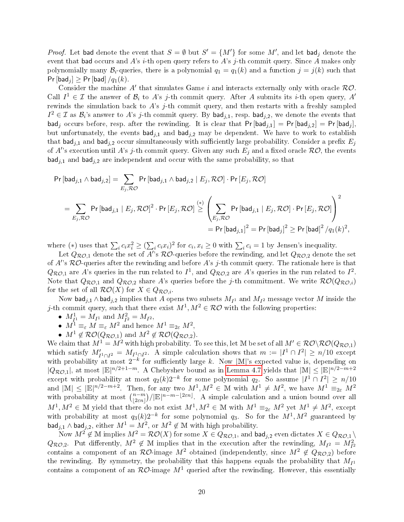*Proof.* Let bad denote the event that  $S = \emptyset$  but  $S' = \{M'\}$  for some  $M'$ , and let bad<sub>j</sub> denote the event that bad occurs and A's i-th open query refers to A's j-th commit query. Since A makes only polynomially many  $\mathcal{B}_i$ -queries, there is a polynomial  $q_1 = q_1(k)$  and a function  $j = j(k)$  such that  $Pr[bad_j] \geq Pr[bad]/q_1(k)$ .

Consider the machine  $A'$  that simulates Game i and interacts externally only with oracle  $RO$ . Call  $I^1 \in \mathcal{I}$  the answer of  $\mathcal{B}_i$  to A's j-th commit query. After A submits its i-th open query, A' rewinds the simulation back to  $A$ 's j-th commit query, and then restarts with a freshly sampled  $I^2 \in \mathcal{I}$  as  $\mathcal{B}_i$ 's answer to A's j-th commit query. By bad<sub>j,1</sub>, resp. bad<sub>j,2</sub>, we denote the events that  $\mathsf{bad}_i$  occurs before, resp. after the rewinding. It is clear that  $\mathsf{Pr}[\mathsf{bad}_{i,1}] = \mathsf{Pr}[\mathsf{bad}_{i,2}] = \mathsf{Pr}[\mathsf{bad}_i],$ but unfortunately, the events  $bad_{i,1}$  and  $bad_{i,2}$  may be dependent. We have to work to establish that bad<sub>j,1</sub> and bad<sub>j,2</sub> occur simultaneously with sufficiently large probability. Consider a prefix  $E_i$ of A''s execution until A's j-th commit query. Given any such  $E_j$  and a fixed oracle  $\mathcal{RO}$ , the events  $\mathsf{bad}_{i,1}$  and  $\mathsf{bad}_{i,2}$  are independent and occur with the same probability, so that

$$
\begin{aligned} \Pr\left[\mathsf{bad}_{j,1} \wedge \mathsf{bad}_{j,2}\right] & = \sum_{E_j,\mathcal{RO}} \Pr\left[\mathsf{bad}_{j,1} \wedge \mathsf{bad}_{j,2} \mid E_j,\mathcal{RO}\right] \cdot \Pr\left[E_j,\mathcal{RO}\right] \\ & = \sum_{E_j,\mathcal{RO}} \Pr\left[\mathsf{bad}_{j,1} \mid E_j,\mathcal{RO}\right]^2 \cdot \Pr\left[E_j,\mathcal{RO}\right] \stackrel{(*)}{\geq} \left(\sum_{E_j,\mathcal{RO}} \Pr\left[\mathsf{bad}_{j,1} \mid E_j,\mathcal{RO}\right] \cdot \Pr\left[E_j,\mathcal{RO}\right]\right)^2 \\ & = \Pr\left[\mathsf{bad}_{j,1}\right]^2 = \Pr\left[\mathsf{bad}_{j}\right]^2 \geq \Pr\left[\mathsf{bad}\right]^2 / q_1(k)^2, \end{aligned}
$$

where (\*) uses that  $\sum_i c_i x_i^2 \geq (\sum_i c_i x_i)^2$  for  $c_i, x_i \geq 0$  with  $\sum_i c_i = 1$  by Jensen's inequality.

Let  $Q_{\mathcal{RO},1}$  denote the set of  $A'^{!}$ s  $\mathcal{RO}\!$ -queries before the rewinding, and let  $Q_{\mathcal{RO},2}$  denote the set of  $A$ 's  $R O$ -queries after the rewinding and before  $A$ 's j-th commit query. The rationale here is that  $Q_{\mathcal{RO},1}$  are  $A$ 's queries in the run related to  $I^1$ , and  $Q_{\mathcal{RO},2}$  are  $A$ 's queries in the run related to  $I^2$ . Note that  $Q_{\mathcal{RO},1}$  and  $Q_{\mathcal{RO},2}$  share A's queries before the j-th commitment. We write  $\mathcal{RO}(Q_{\mathcal{RO},i})$ for the set of all  $\mathcal{RO}(X)$  for  $X \in Q_{\mathcal{RO},i}$ .

Now  $\mathsf{bad}_{j,1} \wedge \mathsf{bad}_{j,2}$  implies that  $A$  opens two subsets  $M_{I^1}$  and  $M_{I^2}$  message vector  $M$  inside the j-th commit query, such that there exist  $M^1, M^2 \in \mathcal{RO}$  with the following properties:

- $M_{I^1}^1 = M_{I^1}$  and  $M_{I^2}^2 = M_{I^2}$ ,
- $M^1 \equiv_{\varepsilon} M \equiv_{\varepsilon} M^2$  and hence  $M^1 \equiv_{2\varepsilon} M^2$ ,
- $M^1 \notin \mathcal{RO}(Q_{\mathcal{RO},1})$  and  $M^2 \notin \mathcal{RO}(Q_{\mathcal{RO},2})$ .

We claim that  $M^1 = M^2$  with high probability. To see this, let M be set of all  $M' \in \mathcal{RO}(\mathcal{RO}(Q_{\mathcal{RO},1}))$ which satisfy  $M'_{I^1 \cap I^2} = M_{I^1 \cap I^2}$ . A simple calculation shows that  $m := |I^1 \cap I^2| \geq n/10$  except with probability at most  $2^{-k}$  for sufficiently large k. Now |M|'s expected value is, depending on  $|Q_{\mathcal{RO},1}|$ , at most  $|\mathbb{E}|^{n/2+1-m}$ . A Chebyshev bound as in [Lemma 4.7](#page-18-2) yields that  $|\mathbb{M}| \leq |\mathbb{E}|^{n/2-m+2}$ except with probability at most  $q_2(k)2^{-k}$  for some polynomial  $q_2$ . So assume  $|I^1 \cap I^2| \ge n/10$ and  $|M| \leq |\mathbb{E}|^{n/2-m+2}$ . Then, for any two  $M^1, M^2 \in \mathbb{M}$  with  $M^1 \neq M^2$ , we have  $M^1 \equiv_{2\varepsilon} M^2$ with probability at most  $\binom{n-m}{2\epsilon n}$  $\binom{n-m}{|2\epsilon n|}/|\mathbb{E}|^{n-m-\lfloor 2\epsilon n\rfloor}$ . A simple calculation and a union bound over all  $M^1, M^2 \in \mathbb{M}$  yield that there do not exist  $M^1, M^2 \in \mathbb{M}$  with  $M^1 \equiv_{2\varepsilon} M^2$  yet  $M^1 \neq M^2$ , except with probability at most  $q_3(k)2^{-k}$  for some polynomial  $q_3$ . So for the  $M^1, M^2$  guaranteed by bad $_{j,1}$   $\wedge$  bad $_{j,2}$ , either  $M^1 = M^2$ , or  $M^2 \not\in \mathbb{M}$  with high probability.

Now  $M^2 \notin \mathbb{M}$  implies  $M^2 = \mathcal{RO}(X)$  for some  $X \in Q_{\mathcal{RO},1}$ , and  $\mathsf{bad}_{j,2}$  even dictates  $X \in Q_{\mathcal{RO},1} \setminus$  $Q_{\mathcal{RO},2}$ . Put differently,  $M^2 \notin \mathbb{M}$  implies that in the execution after the rewinding,  $M_{I^2} = M_{I^2}^2$ <br>contains a component of an  $\mathcal{RO}$ -image  $M^2$  obtained (independently, since  $M^2 \notin Q_{\mathcal{RO},2}$ ) before the rewinding. By symmetry, the probability that this happens equals the probability that  $M_{I^1}$ contains a component of an  $R\mathcal{O}$ -image  $M^1$  queried after the rewinding. However, this essentially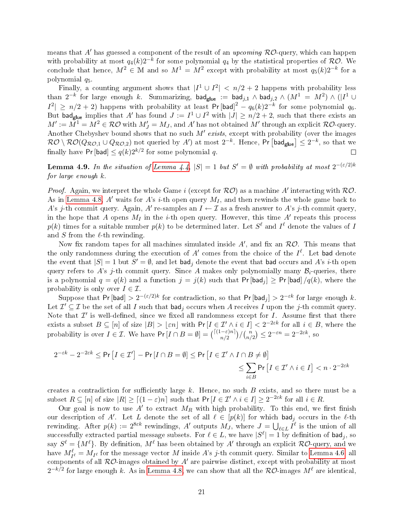means that  $A'$  has guessed a component of the result of an upcoming  $R O$ -query, which can happen with probability at most  $q_4(k)2^{-k}$  for some polynomial  $q_4$  by the statistical properties of  $\mathcal{RO}$ . We conclude that hence,  $M^2 \in \mathbb{M}$  and so  $M^1 = M^2$  except with probability at most  $q_5(k)2^{-k}$  for a polynomial q5.

Finally, a counting argument shows that  $|I^1 \cup I^2|$   $\lt n/2 + 2$  happens with probability less than  $2^{-k}$  for large enough  $k$ . Summarizing,  $\mathsf{bad}_\mathsf{glue}$  :=  $\mathsf{bad}_{j,1} \wedge \mathsf{bad}_{j,2} \wedge (M^1\,=\,M^2) \wedge (|I^1\cup\mathsf{bad}|)$  $|I^2| \ge n/2 + 2$ ) happens with probability at least Pr [bad]<sup>2</sup> –  $q_6(k)2^{-k}$  for some polynomial  $q_6$ . But bad<sub>glue</sub> implies that A' has found  $J := I^1 \cup I^2$  with  $|J| \ge n/2 + 2$ , such that there exists an  $M':=M^1=M^2\in \mathcal{RO}$  with  $M'_J=M_J,$  and  $A'$  has not obtained  $M'$  through an explicit  $\mathcal{RO}\text{-}query.$ Another Chebyshev bound shows that no such  $M'$  exists, except with probability (over the images  $\mathcal{RO} \setminus \mathcal{RO}(Q_{\mathcal{RO},1} \cup Q_{\mathcal{RO},2})$  not queried by  $A'$ ) at most  $2^{-k}$ . Hence,  $\mathsf{Pr}\left[\mathsf{bad}_\mathsf{glue}\right] \leq 2^{-k},$  so that we finally have Pr [bad]  $\leq q(k)2^{k/2}$  for some polynomial  $q$ .  $\Box$ 

<span id="page-20-0"></span>**Lemma 4.9.** In the situation of [Lemma 4.4,](#page-17-1)  $|S| = 1$  but  $S' = \emptyset$  with probability at most  $2^{-(\varepsilon/2)k}$ for large enough k.

*Proof.* Again, we interpret the whole Game i (except for  $RO$ ) as a machine A' interacting with  $RO$ . As in [Lemma 4.8,](#page-18-3)  $A'$  waits for  $A$ 's *i*-th open query  $M_I$ , and then rewinds the whole game back to A's j-th commit query. Again, A' re-samples an  $I \leftarrow \mathcal{I}$  as a fresh answer to A's j-th commit query, in the hope that A opens  $M_I$  in the *i*-th open query. However, this time A' repeats this process  $p(k)$  times for a suitable number  $p(k)$  to be determined later. Let  $S^\ell$  and  $I^\ell$  denote the values of  $I$ and  $S$  from the  $\ell$ -th rewinding.

Now fix random tapes for all machines simulated inside  $A'$ , and fix an  $\mathcal{RO}$ . This means that the only randomness during the execution of  $A'$  comes from the choice of the  $I^{\ell}$ . Let bad denote the event that  $|S| = 1$  but  $S' = \emptyset$ , and let  $\mathsf{bad}_j$  denote the event that  $\mathsf{bad}$  occurs and  $A$ 's  $i\text{-th}$  open query refers to A's j-th commit query. Since A makes only polynomially many  $\mathcal{B}_i$ -queries, there is a polynomial  $q = q(k)$  and a function  $j = j(k)$  such that Pr [bad<sub>j</sub>]  $\geq$  Pr [bad] /q(k), where the probability is only over  $I \in \mathcal{I}$ .

Suppose that  $Pr[\mathsf{bad}] > 2^{-(\varepsilon/2)k}$  for contradiction, so that  $Pr[\mathsf{bad}_j] > 2^{-\varepsilon k}$  for large enough  $k$ . Let  $\mathcal{I}'\subseteq\mathcal{I}$  be the set of all  $I$  such that  $\mathsf{bad}_j$  occurs when  $A$  receives  $I$  upon the  $j$ -th commit query. Note that  $\mathcal{I}'$  is well-defined, since we fixed all randomness except for  $I$ . Assume first that there exists a subset  $B \subseteq [n]$  of size  $|B| > |\varepsilon n|$  with Pr  $[I \in \mathcal{I}' \wedge i \in I] < 2^{-2\varepsilon k}$  for all  $i \in B$ , where the probability is over  $I \in \mathcal{I}$ . We have  $Pr[I \cap B = \emptyset] = {\binom{[(1-\varepsilon)n]}{n/2}}/{\binom{n}{n}}$  ${n \choose n/2} \leq 2^{-\varepsilon n} = 2^{-2\varepsilon k}, \text{ so}$ 

$$
\begin{aligned} 2^{-\varepsilon k} - 2^{-2\varepsilon k} &\leq \Pr\left[I \in \mathcal{I}'\right] - \Pr\left[I \cap B = \emptyset\right] &\leq \Pr\left[I \in \mathcal{I}' \wedge I \cap B \neq \emptyset\right] \\ &\leq \sum_{i \in B} \Pr\left[I \in \mathcal{I}' \wedge i \in I\right] &< n \cdot 2^{-2\varepsilon k} \end{aligned}
$$

creates a contradiction for sufficiently large  $k$ . Hence, no such  $B$  exists, and so there must be a subset  $R \subseteq [n]$  of size  $|R| \geq [(1 - \varepsilon)n]$  such that  $Pr[I \in \mathcal{I}' \land i \in I] \geq 2^{-2\varepsilon k}$  for all  $i \in R$ .

Our goal is now to use  $A'$  to extract  $M_R$  with high probability. To this end, we first finish our description of A'. Let L denote the set of all  $\ell \in [p(k)]$  for which bad<sub>j</sub> occurs in the  $\ell$ -th rewinding. After  $p(k) := 2^{8\varepsilon k}$  rewindings,  $A'$  outputs  $M_J$ , where  $J = \bigcup_{\ell \in L} I^{\ell}$  is the union of all successfully extracted partial message subsets. For  $\ell \in L,$  we have  $|S^{\ell}| = 1$  by definition of  $\mathsf{bad}_j,$  so say  $S^\ell = \{M^\ell\}$ . By definition,  $M^\ell$  has been obtained by  $A'$  through an explicit  $\mathcal{RO}\text{-}$  query, and we have  $M_{I^{\ell}}^{\ell} = M_{I^{\ell}}$  for the message vector  $M$  inside  $A$ 's j-th commit query. Similar to [Lemma 4.6,](#page-18-1) all components of all  $R\mathcal{O}$ -images obtained by  $A'$  are pairwise distinct, except with probability at most  $2^{-k/2}$  for large enough k. As in [Lemma 4.8,](#page-18-3) we can show that all the  $\mathcal{RO}\text{-}\text{images }M^\ell$  are identical,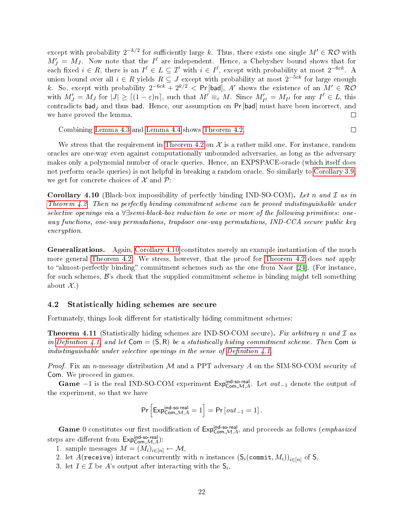except with probability  $2^{-k/2}$  for sufficiently large k. Thus, there exists one single  $M'\in\mathcal{RO}$  with  $M'_J = M_J$ . Now note that the  $I^{\ell}$  are independent. Hence, a Chebyshev bound shows that for each fixed  $i \in R$ , there is an  $I^{\ell} \in L \subseteq \mathcal{I}'$  with  $i \in I^{\ell}$ , except with probability at most  $2^{-6\varepsilon k}$ . A union bound over all  $i \in R$  yields  $R \subseteq J$  except with probability at most  $2^{-5\varepsilon k}$  for large enough k. So, except with probability  $2^{-6\varepsilon k} + 2^{k/2} <$  Pr [bad], A' shows the existence of an  $M' \in \mathcal{RO}$ with  $M'_J = M_J$  for  $|J| \geq |(1-\varepsilon)n|$ , such that  $M' \equiv_{\varepsilon} M$ . Since  $M'_{I^{\ell}} = M_{I^{\ell}}$  for any  $I^{\ell} \in L$ , this contradicts bad<sub>i</sub> and thus bad. Hence, our assumption on Pr [bad] must have been incorrect, and we have proved the lemma.  $\Box$ 

Combining [Lemma 4.3](#page-16-1) and [Lemma 4.4](#page-17-1) shows [Theorem 4.2.](#page-16-2)

We stress that the requirement in [Theorem 4.2](#page-16-2) on  $\mathcal X$  is a rather mild one. For instance, random oracles are one-way even against computationally unbounded adversaries, as long as the adversary makes only a polynomial number of oracle queries. Hence, an EXPSPACE-oracle (which itself does not perform oracle queries) is not helpful in breaking a random oracle. So similarly to [Corollary 3.9,](#page-11-0) we get for concrete choices of  $\mathcal X$  and  $\mathcal P$ :

 $\Box$ 

<span id="page-21-1"></span>**Corollary 4.10** (Black-box impossibility of perfectly binding IND-SO-COM). Let n and  $\mathcal I$  as in [Theorem 4.2.](#page-16-2) Then no perfectly binding commitment scheme can be proved indistinguishable under selective openings via a ∀∃semi-black-box reduction to one or more of the following primitives: oneway functions, one-way permutations, trapdoor one-way permutations, IND-CCA secure public key encryption.

Generalizations. Again, [Corollary 4.10](#page-21-1) constitutes merely an example instantiation of the much more general [Theorem 4.2.](#page-16-2) We stress, however, that the proof for [Theorem 4.2](#page-16-2) does not apply to "almost-perfectly binding" commitment schemes such as the one from Naor  $[24]$ . (For instance, for such schemes,  $\mathcal{B}$ 's check that the supplied commitment scheme is binding might tell something about  $\mathcal{X}$ .)

#### 4.2 Statistically hiding schemes are secure

<span id="page-21-0"></span>Fortunately, things look different for statistically hiding commitment schemes:

**Theorem 4.11** (Statistically hiding schemes are IND-SO-COM secure). Fix arbitrary n and  $\mathcal{I}$  as in Definition 4.1, and let  $Com = (S, R)$  be a statistically hiding commitment scheme. Then Com is indistinguishable under selective openings in the sense of Definition  $4.1$ .

*Proof.* Fix an n-message distribution  $M$  and a PPT adversary  $A$  on the SIM-SO-COM security of Com. We proceed in games.

Game  $-1$  is the real IND-SO-COM experiment Exp<sup>ind-so-real</sup> Let  $out_{-1}$  denote the output of the experiment, so that we have

$$
\Pr\Big[\mathrm{Exp}_{\mathrm{Com},\mathcal{M},A}^{\mathrm{ind-so\text{-}real}}=1\Big]=\Pr\big[\mathit{out}_{-1}=1\big]\,.
$$

Game 0 constitutes our first modification of  $Exp_{Com, M,A}^{ind-so-real}$ , and proceeds as follows (*emphasized* steps are different from  $\mathsf{Exp}^{\mathsf{ind} \text{-}\mathsf{so}\text{-}\mathsf{real}}_{\mathsf{Com},\mathcal{M},A})$ :

1. sample messages  $M = (M_i)_{i \in [n]} \leftarrow \mathcal{M},$ 

- 2. let A(receive) interact concurrently with n instances  $(\mathsf{S}_i(\text{commit}, M_i))_{i \in [n]}$  of  $\mathsf{S}_i$
- 3. let  $I \in \mathcal{I}$  be A's output after interacting with the  $\mathsf{S}_i$ ,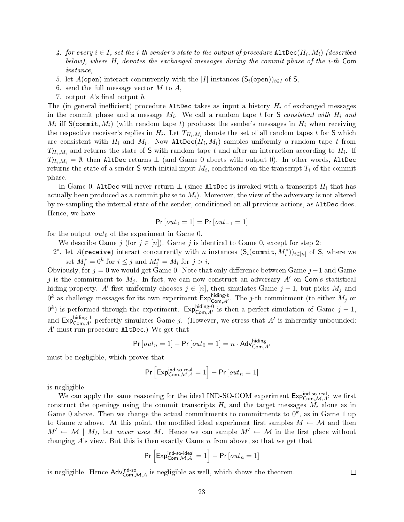- 4. for every  $i \in I$ , set the i-th sender's state to the output of procedure  $\mathtt{AlthoughC}(H_i,M_i)$  (described below), where  $H_i$  denotes the exchanged messages during the commit phase of the *i*-th Com instance,
- 5. let A(open) interact concurrently with the |I| instances  $(S_i(\text{open}))_{i\in I}$  of S.
- 6. send the full message vector M to  $A$ ,
- 7. output  $A$ 's final output  $b$ .

The (in general inefficient) procedure AltDec takes as input a history  $H_i$  of exchanged messages in the commit phase and a message  $M_i$ . We call a random tape t for S consistent with  $H_i$  and  $M_i$  iff  ${\sf S}({\tt commit}, M_i)$  (with random tape  $t)$  produces the sender's messages in  $H_i$  when receiving the respective receiver's replies in  $H_i$  . Let  $T_{H_i,M_i}$  denote the set of all random tapes  $t$  for  ${\sf S}$  which are consistent with  $H_i$  and  $M_i$ . Now <code>AltDec</code>( $H_i, M_i)$  samples uniformly a random tape  $t$  from  $T_{H_i,M_i}$  and returns the state of  ${\sf S}$  with random tape  $t$  and after an interaction according to  $H_i$ . If  $T_{H_i,M_i} = \emptyset$ , then AltDec returns  $\perp$  (and Game 0 aborts with output 0). In other words, AltDec returns the state of a sender **S** with initial input  $M_i,$  conditioned on the transcript  $T_i$  of the commit phase.

In Game 0, AltDec will never return  $\perp$  (since AltDec is invoked with a transcript  $H_i$  that has actually been produced as a commit phase to  $M_i$ ). Moreover, the view of the adversary is not altered by re-sampling the internal state of the sender, conditioned on all previous actions, as AltDec does. Hence, we have

$$
Pr[out_0 = 1] = Pr[out_{-1} = 1]
$$

for the output  $out_0$  of the experiment in Game 0.

We describe Game j (for  $j \in [n]$ ). Game j is identical to Game 0, except for step 2:

2\*. let  $A$ (receive) interact concurrently with n instances  $(\mathsf{S}_i(\texttt{commit},M_i^*))_{i\in[n]}$  of S, where we set  $M_i^* = 0^k$  for  $i \leq j$  and  $M_i^* = M_i$  for  $j > i$ ,

Obviously, for  $j = 0$  we would get Game 0. Note that only difference between Game  $j - 1$  and Game j is the commitment to  $M_j$ . In fact, we can now construct an adversary  $A'$  on Com's statistical hiding property. A' first uniformly chooses  $j \in [n]$ , then simulates Game  $j - 1$ , but picks  $M_j$  and  $0^k$  as challenge messages for its own experiment  $\text{Exp}_{\text{Com},A'}^{\text{hiding-}b}$ . The j-th commitment (to either  $M_j$  or  $0^k$ ) is performed through the experiment. Exp<sup>hiding-0</sup> is then a perfect simulation of Game  $j-1$ , and  $Exp_{Com, A'}^{hiding-1}$  perfectly simulates Game j. (However, we stress that A' is inherently unbounded:  $A'$  must run procedure AltDec.) We get that

$$
\Pr\left[out_n=1\right]-\Pr\left[out_0=1\right]=n\cdot \mathsf{Adv}^{\mathsf{hiding}}_{\mathsf{Com},A'}
$$

must be negligible, which proves that

$$
\Pr\left[\text{Exp}_{\text{Com},\mathcal{M},A}^{\text{ind-so-real}}=1\right]-\Pr\left[out_n=1\right]
$$

is negligible.

We can apply the same reasoning for the ideal IND-SO-COM experiment  $\mathsf{Exp}_{\mathsf{Com},\mathcal{M},A}^{\mathsf{ind}}$ : we first construct the openings using the commit transcripts  $H_i$  and the target messages  $M_i$  alone as in Game 0 above. Then we change the actual commitments to commitments to  $0^k$ , as in Game 1 up to Game n above. At this point, the modified ideal experiment first samples  $M \leftarrow M$  and then  $M' \leftarrow M \mid M_I$ , but never uses M. Hence we can sample  $M' \leftarrow M$  in the first place without changing  $A$ 's view. But this is then exactly Game  $n$  from above, so that we get that

$$
\Pr\Big[\mathsf{Exp}_{\mathsf{Com},\mathcal{M},A}^{\mathsf{ind\text{-}so-ideal}}=1\Big]-\Pr\big[\mathit{out}_n=1\big]
$$

 $\Box$ 

is negligible. Hence  $\mathsf{Adv}^{\mathsf{ind-so}}_{\mathsf{Com},\mathcal{M},A}$  is negligible as well, which shows the theorem.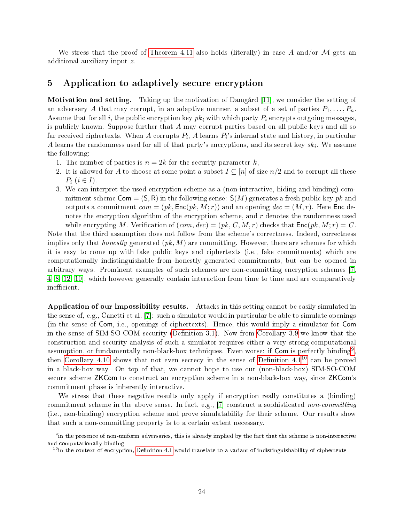We stress that the proof of [Theorem 4.11](#page-21-0) also holds (literally) in case A and/or M gets an additional auxiliary input z.

### <span id="page-23-0"></span>5 Application to adaptively secure encryption

Motivation and setting. Taking up the motivation of Damgård [\[11\]](#page-29-12), we consider the setting of an adversary A that may corrupt, in an adaptive manner, a subset of a set of parties  $P_1, \ldots, P_n$ . Assume that for all i, the public encryption key  $pk_i$  with which party  $P_i$  encrypts outgoing messages, is publicly known. Suppose further that A may corrupt parties based on all public keys and all so far received ciphertexts. When  $A$  corrupts  $P_i,$   $A$  learns  $P_i$ 's internal state and history, in particular  $A$  learns the randomness used for all of that party's encryptions, and its secret key  $sk_i$ . We assume the following:

- 1. The number of parties is  $n = 2k$  for the security parameter k,
- 2. It is allowed for A to choose at some point a subset  $I \subseteq [n]$  of size  $n/2$  and to corrupt all these  $P_i$   $(i \in I)$ .
- 3. We can interpret the used encryption scheme as a (non-interactive, hiding and binding) commitment scheme  $Com = (S, R)$  in the following sense:  $S(M)$  generates a fresh public key pk and outputs a commitment  $com = (pk, Enc(pk, M; r))$  and an opening  $dec = (M, r)$ . Here Enc denotes the encryption algorithm of the encryption scheme, and  $r$  denotes the randomness used while encrypting M. Verification of  $(com, dec) = (pk, C, M, r)$  checks that  $Enc(pk, M; r) = C$ .

Note that the third assumption does not follow from the scheme's correctness. Indeed, correctness implies only that *honestly* generated  $(pk, M)$  are committing. However, there are schemes for which it is easy to come up with fake public keys and ciphertexts (i.e., fake commitments) which are computationally indistinguishable from honestly generated commitments, but can be opened in arbitrary ways. Prominent examples of such schemes are non-committing encryption schemes [\[7,](#page-29-1) [4,](#page-28-0) [8,](#page-29-2) [12,](#page-29-3) [10\]](#page-29-4), which however generally contain interaction from time to time and are comparatively inefficient.

Application of our impossibility results. Attacks in this setting cannot be easily simulated in the sense of, e.g., Canetti et al. [\[7\]](#page-29-1): such a simulator would in particular be able to simulate openings (in the sense of Com, i.e., openings of ciphertexts). Hence, this would imply a simulator for Com in the sense of SIM-SO-COM security (Definition 3.1). Now from [Corollary 3.9](#page-11-0) we know that the construction and security analysis of such a simulator requires either a very strong computational assumption, or fundamentally non-black-box techniques. Even worse: if Com is perfectly binding<sup>[9](#page-23-1)</sup>, then [Corollary 4.10](#page-21-1) shows that not even secrecy in the sense of Definition  $4.1^{10}$  $4.1^{10}$  $4.1^{10}$  can be proved in a black-box way. On top of that, we cannot hope to use our (non-black-box) SIM-SO-COM secure scheme ZKCom to construct an encryption scheme in a non-black-box way, since ZKCom's commitment phase is inherently interactive.

We stress that these negative results only apply if encryption really constitutes a (binding) commitment scheme in the above sense. In fact, e.g.,  $[7]$  construct a sophisticated non-committing (i.e., non-binding) encryption scheme and prove simulatability for their scheme. Our results show that such a non-committing property is to a certain extent necessary.

<span id="page-23-1"></span> $^9$ in the presence of non-uniform adversaries, this is already implied by the fact that the scheme is non-interactive and computationally binding

<span id="page-23-2"></span> $10$  in the context of encryption, Definition 4.1 would translate to a variant of indistinguishability of ciphertexts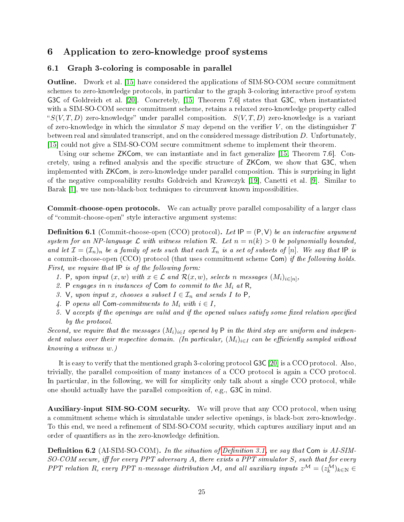# <span id="page-24-0"></span>6 Application to zero-knowledge proof systems

### 6.1 Graph 3-coloring is composable in parallel

Outline. Dwork et al. [\[15\]](#page-29-0) have considered the applications of SIM-SO-COM secure commitment schemes to zero-knowledge protocols, in particular to the graph 3-coloring interactive proof system G3C of Goldreich et al. [\[20\]](#page-30-0). Concretely, [\[15,](#page-29-0) Theorem 7.6] states that G3C, when instantiated with a SIM-SO-COM secure commitment scheme, retains a relaxed zero-knowledge property called " $S(V, T, D)$  zero-knowledge" under parallel composition.  $S(V, T, D)$  zero-knowledge is a variant of zero-knowledge in which the simulator S may depend on the verifier  $V$ , on the distinguisher T between real and simulated transcript, and on the considered message distribution D. Unfortunately, [\[15\]](#page-29-0) could not give a SIM-SO-COM secure commitment scheme to implement their theorem.

Using our scheme ZKCom, we can instantiate and in fact generalize [\[15,](#page-29-0) Theorem 7.6]. Concretely, using a refined analysis and the specific structure of ZKCom, we show that G3C, when implemented with ZKCom, is zero-knowledge under parallel composition. This is surprising in light of the negative composability results Goldreich and Krawczyk [\[19\]](#page-30-3), Canetti et al. [\[9\]](#page-29-6). Similar to Barak [\[1\]](#page-28-1), we use non-black-box techniques to circumvent known impossibilities.

Commit-choose-open protocols. We can actually prove parallel composability of a larger class of "commit-choose-open" style interactive argument systems:

<span id="page-24-2"></span>**Definition 6.1** (Commit-choose-open (CCO) protocol). Let  $IP = (P, V)$  be an interactive argument system for an NP-language  $\mathcal L$  with witness relation  $\mathcal R$ . Let  $n = n(k) > 0$  be polynomially bounded, and let  $\mathcal{I} = (\mathcal{I}_n)_n$  be a family of sets such that each  $\mathcal{I}_n$  is a set of subsets of  $[n]$ . We say that IP is a commit-choose-open (CCO) protocol (that uses commitment scheme Com) if the following holds. First, we require that IP is of the following form:

- 1. P, upon input  $(x, w)$  with  $x \in \mathcal{L}$  and  $\mathcal{R}(x, w)$ , selects n messages  $(M_i)_{i \in [n]},$
- 2. P engages in n instances of Com to commit to the  $M_i$  at R,
- 3. V, upon input x, chooses a subset  $I \in \mathcal{I}_n$  and sends I to P,
- 4. P opens all Com-commitments to  $M_i$  with  $i \in I$ ,
- 5. V accepts if the openings are valid and if the opened values satisfy some fixed relation specified by the protocol.

Second, we require that the messages  $(M_i)_{i\in I}$  opened by P in the third step are uniform and independent values over their respective domain. (In particular,  $(M_i)_{i\in I}$  can be efficiently sampled without knowing a witness w.)

It is easy to verify that the mentioned graph 3-coloring protocol G3C [\[20\]](#page-30-0) is a CCO protocol. Also, trivially, the parallel composition of many instances of a CCO protocol is again a CCO protocol. In particular, in the following, we will for simplicity only talk about a single CCO protocol, while one should actually have the parallel composition of, e.g., G3C in mind.

Auxiliary-input SIM-SO-COM security. We will prove that any CCO protocol, when using a commitment scheme which is simulatable under selective openings, is black-box zero-knowledge. To this end, we need a refinement of SIM-SO-COM security, which captures auxiliary input and an order of quantifiers as in the zero-knowledge definition.

<span id="page-24-1"></span>**Definition 6.2** (AI-SIM-SO-COM). In the situation of Definition 3.1, we say that Com is AI-SIM- $SO\text{-}COM\text{ }secure,\text{ iff for every }PPT\text{ }adversary\text{ }A,\text{ }there\text{ }exists\text{ }a\text{ }PPT\text{ }simulator\text{ }S,\text{ }such\text{ }that\text{ }for\text{ }every\text{ }PPT\text{ }adversary\text{ }A,\text{ }there\text{ }exists\text{ }a\text{ }PPT\text{ }simulator\text{ }S,\text{ }such\text{ }that\text{ }for\text{ }every\text{ }PPT\text{ }and\text{ }for\text{ }ex\text{ }by\text{ }ex\text{ }ex\text{ }ex\text{ }for\text{ }ex\text{ }ex\text{ }ex\text{ }ex$ PPT relation R, every PPT n-message distribution M, and all auxiliary inputs  $z^{\mathcal{M}} = (z_k^{\mathcal{M}})_{k \in \mathbb{N}} \in$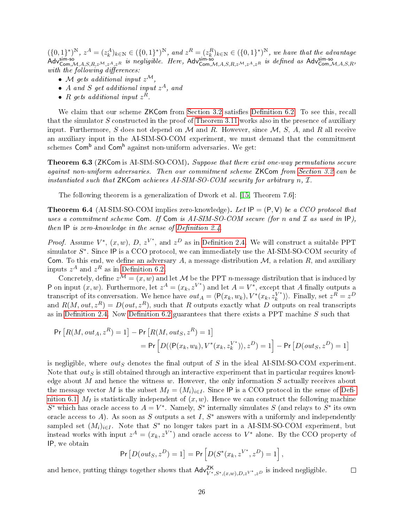$(\{0,1\}^*)^N$ ,  $z^A = (z_k^A)_{k \in \mathbb{N}} \in (\{0,1\}^*)^N$ , and  $z^R = (z_k^R)_{k \in \mathbb{N}} \in (\{0,1\}^*)^N$ , we have that the advantage Adv<sup>sim-so</sup><br>Adv<sup>sim-so</sup> (Adv<sub>Com,</sub>*M*,*A*,*S*,*R*,*z*<sup>*M*</sup>, *z*<sup>*A*</sup>,*z*<sup>*R*</sup> is negligible. Here, Ad with the following differences:

- M gets additional input  $z^{\mathcal{M}}$ ,
- $\bullet$  A and S get additional input  $z^A$ , and
- R gets additional input  $z^R$ .

We claim that our scheme ZKCom from [Section 3.2](#page-12-2) satisfies Definition 6.2. To see this, recall that the simulator  $S$  constructed in the proof of [Theorem 3.11](#page-13-0) works also in the presence of auxiliary input. Furthermore, S does not depend on M and R. However, since  $\mathcal{M}, S, A$ , and R all receive an auxiliary input in the AI-SIM-SO-COM experiment, we must demand that the commitment schemes  $\mathsf{Com}^\mathsf{b}$  and  $\mathsf{Com}^\mathsf{h}$  against non-uniform adversaries. We get:

Theorem 6.3 (ZKCom is AI-SIM-SO-COM). Suppose that there exist one-way permutations secure against non-uniform adversaries. Then our commitment scheme ZKCom from [Section 3.2](#page-12-2) can be instantiated such that ZKCom achieves AI-SIM-SO-COM security for arbitrary n,  $\mathcal{I}$ .

The following theorem is a generalization of Dwork et al. [\[15,](#page-29-0) Theorem 7.6]:

**Theorem 6.4** (AI-SIM-SO-COM implies zero-knowledge). Let  $IP = (P, V)$  be a CCO protocol that uses a commitment scheme Com. If Com is  $AI\text{-}SIM\text{-}SO\text{-}COM$  secure (for n and  $\mathcal I$  as used in IP), then  $IP$  is zero-knowledge in the sense of Definition 2.4.

*Proof.* Assume  $V^*$ ,  $(x, w)$ ,  $D$ ,  $z^{V^*}$ , and  $z^D$  as in Definition 2.4. We will construct a suitable PPT simulator  $S^*$ . Since IP is a CCO protocol, we can immediately use the AI-SIM-SO-COM security of Com. To this end, we define an adversary A, a message distribution  $M$ , a relation R, and auxiliary inputs  $z^A$  and  $z^R$  as in Definition 6.2.

Concretely, define  $z^{\mathcal{M}} = (x, w)$  and let M be the PPT *n*-message distribution that is induced by P on input  $(x, w)$ . Furthermore, let  $z^A = (x_k, z^{V^*})$  and let  $A = V^*$ , except that A finally outputs a transcript of its conversation. We hence have  $out_A = \langle P(x_k, w_k), V^*(x_k, z_k^{V^*}) \rangle$  $\binom{V^*}{k}$ . Finally, set  $z^R = z^D$ and  $R(M, out, z^R) = D(out, z^R)$ , such that R outputs exactly what D outputs on real transcripts as in Definition 2.4. Now Definition 6.2 guarantees that there exists a PPT machine  $S$  such that

$$
Pr[R(M,out_A, z^R) = 1] - Pr[R(M,out_S, z^R) = 1]
$$
  
= 
$$
Pr[D(\langle P(x_k, w_k), V^*(x_k, z_k^{V^*}) \rangle, z^D) = 1] - Pr[D(out_S, z^D) = 1]
$$

is negligible, where  $out_S$  denotes the final output of S in the ideal AI-SIM-SO-COM experiment. Note that *out<sub>S</sub>* is still obtained through an interactive experiment that in particular requires knowledge about M and hence the witness w. However, the only information  $S$  actually receives about the message vector M is the subset  $M_I = (M_i)_{i \in I}$ . Since IP is a CCO protocol in the sense of Defi[nition 6.1,](#page-24-2)  $M_I$  is statistically independent of  $(x, w)$ . Hence we can construct the following machine S<sup>\*</sup> which has oracle access to  $A = V^*$ . Namely, S<sup>\*</sup> internally simulates S (and relays to S<sup>\*</sup> its own oracle access to A). As soon as S outputs a set I,  $S^*$  answers with a uniformly and independently sampled set  $(M_i)_{i\in I}$ . Note that  $S^*$  no longer takes part in a AI-SIM-SO-COM experiment, but instead works with input  $z^A = (x_k, z^{V^*})$  and oracle access to  $V^*$  alone. By the CCO property of IP, we obtain

$$
\Pr\left[D(out_S, z^D) = 1\right] = \Pr\left[D(S^*(x_k, z^{V^*}, z^D) = 1\right],
$$

and hence, putting things together shows that  $\mathsf{Adv}_{V^*,S^*,(x,w),D,z^{V^*,},z^D}^{\mathsf{ZK}}$  is indeed negligible.  $\Box$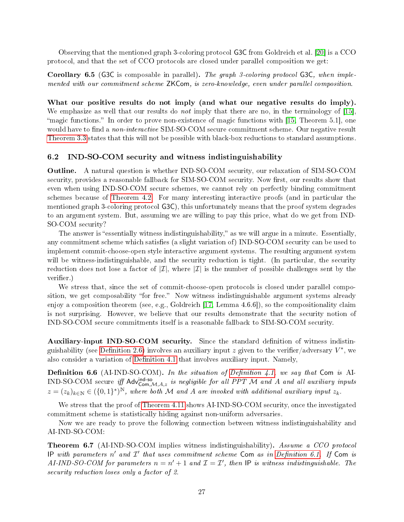Observing that the mentioned graph 3-coloring protocol G3C from Goldreich et al. [\[20\]](#page-30-0) is a CCO protocol, and that the set of CCO protocols are closed under parallel composition we get:

Corollary 6.5 (G3C is composable in parallel). The graph 3-coloring protocol G3C, when implemented with our commitment scheme ZKCom, is zero-knowledge, even under parallel composition.

What our positive results do not imply (and what our negative results do imply). We emphasize as well that our results do *not* imply that there are no, in the terminology of [\[15\]](#page-29-0). "magic functions." In order to prove non-existence of magic functions with [\[15,](#page-29-0) Theorem 5.1], one would have to find a *non-interactive* SIM-SO-COM secure commitment scheme. Our negative result [Theorem 3.3](#page-7-1) states that this will not be possible with black-box reductions to standard assumptions.

#### 6.2 IND-SO-COM security and witness indistinguishability

Outline. A natural question is whether IND-SO-COM security, our relaxation of SIM-SO-COM security, provides a reasonable fallback for SIM-SO-COM security. Now first, our results show that even when using IND-SO-COM secure schemes, we cannot rely on perfectly binding commitment schemes because of [Theorem 4.2.](#page-16-2) For many interesting interactive proofs (and in particular the mentioned graph 3-coloring protocol G3C), this unfortunately means that the proof system degrades to an argument system. But, assuming we are willing to pay this price, what do we get from IND-SO-COM security?

The answer is "essentially witness indistinguishability," as we will argue in a minute. Essentially, any commitment scheme which satisfies (a slight variation of) IND-SO-COM security can be used to implement commit-choose-open style interactive argument systems. The resulting argument system will be witness-indistinguishable, and the security reduction is tight. (In particular, the security reduction does not lose a factor of  $|\mathcal{I}|$ , where  $|\mathcal{I}|$  is the number of possible challenges sent by the verifier.)

We stress that, since the set of commit-choose-open protocols is closed under parallel composition, we get composability "for free." Now witness indistinguishable argument systems already enjoy a composition theorem (see, e.g., Goldreich [\[17,](#page-29-10) Lemma 4.6.6]), so the compositionality claim is not surprising. However, we believe that our results demonstrate that the security notion of IND-SO-COM secure commitments itself is a reasonable fallback to SIM-SO-COM security.

Auxiliary-input IND-SO-COM security. Since the standard denition of witness indistinguishability (see Definition 2.6) involves an auxiliary input  $z$  given to the verifier/adversary  $V^*$ , we also consider a variation of Definition 4.1 that involves auxiliary input. Namely,

**Definition 6.6** (AI-IND-SO-COM). In the situation of Definition 4.1, we say that Com is AI-**Definition 6.6** (AI-IND-SO-COM). In the situation of Definition 4.1, we say that Com is AI-<br>IND-SO-COM secure iff Adv<sup>ind-so</sup> in angligible for all PPT M and A and all auxiliary inputs  $z = (z_k)_{k \in \mathbb{N}} \in (\{0,1\}^*)^{\mathbb{N}}$ , where both M and A are invoked with additional auxiliary input  $z_k$ .

We stress that the proof of [Theorem 4.11](#page-21-0) shows AI-IND-SO-COM security, once the investigated commitment scheme is statistically hiding against non-uniform adversaries.

Now we are ready to prove the following connection between witness indistinguishability and AI-IND-SO-COM:

<span id="page-26-0"></span>Theorem 6.7 (AI-IND-SO-COM implies witness indistinguishability). Assume a CCO protocol IP with parameters  $n'$  and  $\mathcal{I}'$  that uses commitment scheme Com as in Definition 6.1. If Com is AI-IND-SO-COM for parameters  $n = n' + 1$  and  $\mathcal{I} = \mathcal{I}'$ , then IP is witness indistinguishable. The security reduction loses only a factor of 2.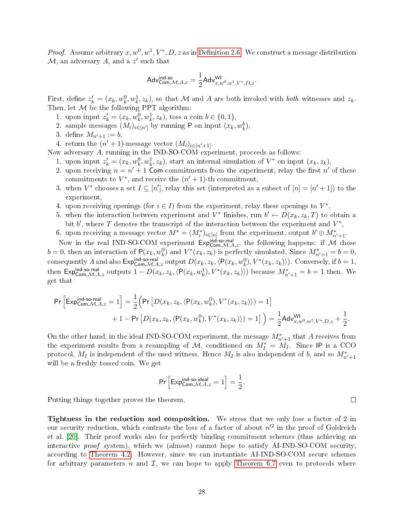*Proof.* Assume arbitrary  $x, w^0, w^1, V^*, D, z$  as in Definition 2.6. We construct a message distribution  $\mathcal M,$  an adversary  $A,$  and a  $z'$  such that

$$
\mathsf{Adv}^{\mathsf{ind\text{-}so}}_{\mathsf{Com},\mathcal{M},A,z}=\frac{1}{2}\mathsf{Adv}^{\mathsf{WI}}_{x,w^0,w^1,V^*,D,z}.
$$

First, define  $z'_k = (x_k, w_k^0, w_k^1, z_k)$ , so that M and A are both invoked with *both* witnesses and  $z_k$ . Then, let  $M$  be the following PPT algorithm:

- 1. upon input  $z'_{k} = (x_{k}, w_{k}^{0}, w_{k}^{1}, z_{k}),$  toss a coin  $b \in \{0, 1\},$
- 2. sample messages  $(M_i)_{i\in[n']}$  by running P on input  $(x_k, w_k^b)$ ,
- 3. define  $M_{n'+1} := b,$
- 4. return the  $(n' + 1)$ -message vector  $(M_i)_{i \in [n'+1]}$ .

Now adversary A, running in the IND-SO-COM experiment, proceeds as follows:

- 1. upon input  $z'_{k} = (x_{k}, w_{k}^{0}, w_{k}^{1}, z_{k}),$  start an internal simulation of  $V^*$  on input  $(x_{k}, z_{k}),$
- 2. upon receiving  $n = n' + 1$  Com-commitments from the experiment, relay the first n' of these commitments to  $V^*$ , and receive the  $(n'+1)$ -th commitment,
- 3. when  $V^*$  chooses a set  $I \subseteq [n']$ , relay this set (interpreted as a subset of  $[n] = [n'+1]$ ) to the experiment,
- 4. upon receiving openings (for  $i \in I$ ) from the experiment, relay these openings to  $V^*$ ,
- 5. when the interaction between experiment and  $V^*$  finishes, run  $b' \leftarrow D(x_k, z_k, T)$  to obtain a bit  $b'$ , where T denotes the transcript of the interaction between the experiment and  $V^*$ ,
- 6. upon receiving a message vector  $M^* = (M_i^*)_{i \in [n]}$  from the experiment, output  $b' \oplus M_{n'+1}^*$ .

Now in the real IND-SO-COM experiment  $Exp_{Com, M, A, z}^{ind-so-real}$ , the following happens: if M chose  $b = 0$ , then an interaction of  $P(x_k, w_k^0)$  and  $V^*(x_k, z_k)$  is perfectly simulated. Since  $M^*_{n'+1} = b = 0$ , consequently A and also  $\mathsf{Exp}^{\mathsf{ind-so}\text{-}\mathsf{real}}_{\mathsf{Com},\mathcal{M},A,z}$  output  $D(x_k,z_k,\langle \mathsf{P}(x_k,w^0_k),V^*(x_k,z_k)\rangle)$ . Conversely, if  $b=1$ , then Expind-so-real outputs  $1 - D(x_k, z_k, \langle P(x_k, w_k^1), V^*(x_k, z_k) \rangle)$  because  $M^*_{n'+1} = b = 1$  then. We get that

$$
\begin{aligned} \Pr\Big[ \text{Exp}_{\text{Com},\mathcal{M},A,z}^{\text{ind-so-real}}=1 \Big] &= \frac{1}{2} \Big( \Pr\big[ D(x_k,z_k,\langle \mathsf{P}(x_k,w_k^0),V^*(x_k,z_k) \rangle) = 1 \big] \\ &+ 1 - \Pr\big[ D(x_k,z_k,\langle \mathsf{P}(x_k,w_k^0),V^*(x_k,z_k) \rangle) = 1 \big] \Big) = \frac{1}{2} \text{Adv}_{x,w^0,w^1,V^*,D,z}^{ \text{WI}} + \frac{1}{2}. \end{aligned}
$$

On the other hand, in the ideal IND-SO-COM experiment, the message  $M^*_{n'+1}$  that A receives from the experiment results from a resampling of  $M$ , conditioned on  $M_I^* = M_I$ . Since IP is a CCO protocol,  $M_I$  is independent of the used witness. Hence  $M_I$  is also independent of b, and so  $M_{n'+1}^*$ will be a freshly tossed coin. We get

$$
\Pr\Big[{\sf Exp}_{\sf Com, \mathcal{M}, A, z}^{\sf ind\text{-}so\text{-}ideal} = 1\Big] = \frac{1}{2}.
$$

Putting things together proves the theorem.

Tightness in the reduction and composition. We stress that we only lose a factor of 2 in our security reduction, which contrasts the loss of a factor of about  $n'^2$  in the proof of Goldreich et al. [\[20\]](#page-30-0). Their proof works also for perfectly binding commitment schemes (thus achieving an interactive proof system), which we (almost) cannot hope to satisfy AI-IND-SO-COM security, according to [Theorem 4.2.](#page-16-2) However, since we can instantiate AI-IND-SO-COM secure schemes for arbitrary parameters n and  $\mathcal{I}$ , we can hope to apply [Theorem 6.7](#page-26-0) even to protocols where

 $\Box$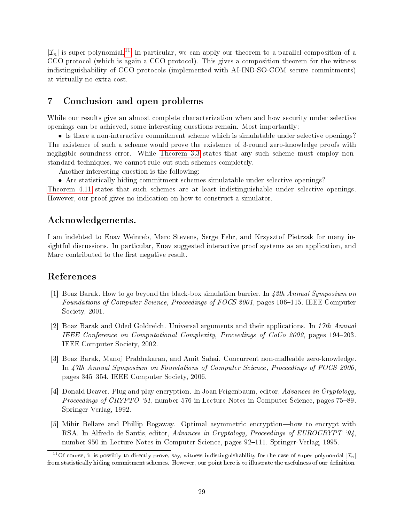$|\mathcal{I}_n|$  is super-polynomial.<sup>[11](#page-28-4)</sup> In particular, we can apply our theorem to a parallel composition of a CCO protocol (which is again a CCO protocol). This gives a composition theorem for the witness indistinguishability of CCO protocols (implemented with AI-IND-SO-COM secure commitments) at virtually no extra cost.

## 7 Conclusion and open problems

While our results give an almost complete characterization when and how security under selective openings can be achieved, some interesting questions remain. Most importantly:

• Is there a non-interactive commitment scheme which is simulatable under selective openings? The existence of such a scheme would prove the existence of 3-round zero-knowledge proofs with negligible soundness error. While [Theorem 3.3](#page-7-1) states that any such scheme must employ nonstandard techniques, we cannot rule out such schemes completely.

Another interesting question is the following:

• Are statistically hiding commitment schemes simulatable under selective openings?

[Theorem 4.11](#page-21-0) states that such schemes are at least indistinguishable under selective openings. However, our proof gives no indication on how to construct a simulator.

### Acknowledgements.

I am indebted to Enav Weinreb, Marc Stevens, Serge Fehr, and Krzysztof Pietrzak for many insightful discussions. In particular, Enav suggested interactive proof systems as an application, and Marc contributed to the first negative result.

### References

- <span id="page-28-1"></span>[1] Boaz Barak. How to go beyond the black-box simulation barrier. In 42th Annual Symposium on Foundations of Computer Science, Proceedings of FOCS 2001, pages 106–115. IEEE Computer Society, 2001.
- <span id="page-28-3"></span>[2] Boaz Barak and Oded Goldreich. Universal arguments and their applications. In 17th Annual IEEE Conference on Computational Complexity, Proceedings of CoCo 2002, pages 194–203. IEEE Computer Society, 2002.
- <span id="page-28-2"></span>[3] Boaz Barak, Manoj Prabhakaran, and Amit Sahai. Concurrent non-malleable zero-knowledge. In 47th Annual Symposium on Foundations of Computer Science, Proceedings of FOCS 2006, pages 345–354. IEEE Computer Society, 2006.
- <span id="page-28-0"></span>[4] Donald Beaver. Plug and play encryption. In Joan Feigenbaum, editor, Advances in Cryptology, Proceedings of CRYPTO '91, number 576 in Lecture Notes in Computer Science, pages 75–89. Springer-Verlag, 1992.
- <span id="page-28-5"></span>[5] Mihir Bellare and Phillip Rogaway. Optimal asymmetric encryption—how to encrypt with RSA. In Alfredo de Santis, editor, Advances in Cryptology, Proceedings of EUROCRYPT '94, number 950 in Lecture Notes in Computer Science, pages 92–111. Springer-Verlag, 1995.

<span id="page-28-4"></span><sup>&</sup>lt;sup>11</sup>Of course, it is possibly to directly prove, say, witness indistinguishability for the case of super-polynomial  $|\mathcal{I}_n|$ from statistically hiding commitment schemes. However, our point here is to illustrate the usefulness of our denition.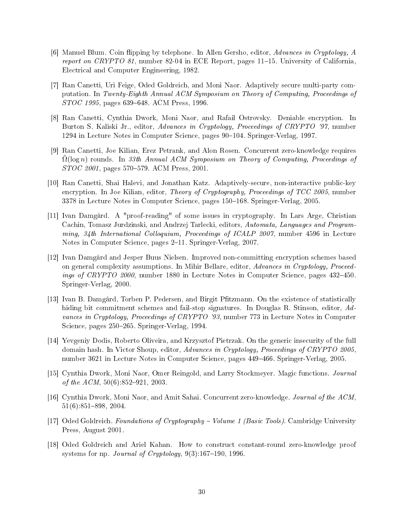- <span id="page-29-8"></span> $|6|$  Manuel Blum. Coin flipping by telephone. In Allen Gersho, editor, Advances in Cryptology, A report on CRYPTO 81, number 82-04 in ECE Report, pages  $11-15$ . University of California. Electrical and Computer Engineering, 1982.
- <span id="page-29-1"></span>[7] Ran Canetti, Uri Feige, Oded Goldreich, and Moni Naor. Adaptively secure multi-party computation. In Twenty-Eighth Annual ACM Symposium on Theory of Computing, Proceedings of STOC 1995, pages 639-648. ACM Press, 1996.
- <span id="page-29-2"></span>[8] Ran Canetti, Cynthia Dwork, Moni Naor, and Rafail Ostrovsky. Deniable encryption. In Burton S. Kaliski Jr., editor, Advances in Cryptology, Proceedings of CRYPTO '97, number 1294 in Lecture Notes in Computer Science, pages 90–104. Springer-Verlag, 1997.
- <span id="page-29-6"></span>[9] Ran Canetti, Joe Kilian, Erez Petrank, and Alon Rosen. Concurrent zero-knowledge requires  $\Omega(\log n)$  rounds. In 33th Annual ACM Symposium on Theory of Computing, Proceedings of STOC 2001, pages 570–579. ACM Press, 2001.
- <span id="page-29-4"></span>[10] Ran Canetti, Shai Halevi, and Jonathan Katz. Adaptively-secure, non-interactive public-key encryption. In Joe Kilian, editor, Theory of Cryptography, Proceedings of TCC 2005, number 3378 in Lecture Notes in Computer Science, pages 150–168. Springer-Verlag, 2005.
- <span id="page-29-12"></span>[11] Ivan Damgård. A "proof-reading" of some issues in cryptography. In Lars Arge, Christian Cachin, Tomasz Jurdzinski, and Andrzej Tarlecki, editors, Automata, Languages and Programming, 34th International Colloquium, Proceedings of ICALP 2007, number 4596 in Lecture Notes in Computer Science, pages 2-11. Springer-Verlag, 2007.
- <span id="page-29-3"></span>[12] Ivan Damgård and Jesper Buus Nielsen. Improved non-committing encryption schemes based on general complexity assumptions. In Mihir Bellare, editor, Advances in Cryptology, Proceedings of CRYPTO 2000, number 1880 in Lecture Notes in Computer Science, pages 432-450. Springer-Verlag, 2000.
- <span id="page-29-9"></span>[13] Ivan B. Damgård, Torben P. Pedersen, and Birgit Pfitzmann. On the existence of statistically hiding bit commitment schemes and fail-stop signatures. In Douglas R. Stinson, editor, Advances in Cryptology, Proceedings of CRYPTO '93, number 773 in Lecture Notes in Computer Science, pages 250–265. Springer-Verlag, 1994.
- <span id="page-29-5"></span>[14] Yevgeniy Dodis, Roberto Oliveira, and Krzysztof Pietrzak. On the generic insecurity of the full domain hash. In Victor Shoup, editor, Advances in Cryptology, Proceedings of CRYPTO 2005, number 3621 in Lecture Notes in Computer Science, pages 449466. Springer-Verlag, 2005.
- <span id="page-29-0"></span>[15] Cynthia Dwork, Moni Naor, Omer Reingold, and Larry Stockmeyer. Magic functions. Journal of the  $ACM$ ,  $50(6)$ :852-921, 2003.
- <span id="page-29-11"></span>[16] Cynthia Dwork, Moni Naor, and Amit Sahai. Concurrent zero-knowledge. Journal of the ACM,  $51(6):851-898, 2004.$
- <span id="page-29-10"></span>[17] Oded Goldreich. Foundations of Cryptography – Volume 1 (Basic Tools). Cambridge University Press, August 2001.
- <span id="page-29-7"></span>[18] Oded Goldreich and Ariel Kahan. How to construct constant-round zero-knowledge proof systems for np. Journal of Cryptology,  $9(3)$ :167-190, 1996.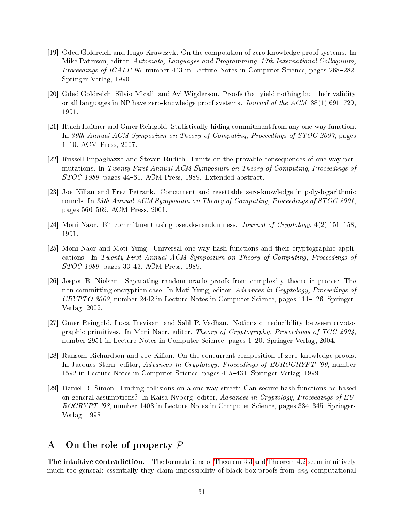- <span id="page-30-3"></span>[19] Oded Goldreich and Hugo Krawczyk. On the composition of zero-knowledge proof systems. In Mike Paterson, editor, Automata, Languages and Programming, 17th International Colloquium, *Proceedings of ICALP 90*, number 443 in Lecture Notes in Computer Science, pages  $268-282$ . Springer-Verlag, 1990.
- <span id="page-30-0"></span>[20] Oded Goldreich, Silvio Micali, and Avi Wigderson. Proofs that yield nothing but their validity or all languages in NP have zero-knowledge proof systems. Journal of the  $ACM$ ,  $38(1):691-729$ . 1991.
- <span id="page-30-4"></span>[21] Iftach Haitner and Omer Reingold. Statistically-hiding commitment from any one-way function. In 39th Annual ACM Symposium on Theory of Computing, Proceedings of STOC 2007, pages 1-10. ACM Press, 2007.
- <span id="page-30-1"></span>[22] Russell Impagliazzo and Steven Rudich. Limits on the provable consequences of one-way permutations. In Twenty-First Annual ACM Symposium on Theory of Computing, Proceedings of  $STOC$  1989, pages 44–61. ACM Press, 1989. Extended abstract.
- <span id="page-30-7"></span>[23] Joe Kilian and Erez Petrank. Concurrent and resettable zero-knowledge in poly-logarithmic rounds. In 33th Annual ACM Symposium on Theory of Computing, Proceedings of STOC 2001, pages 560-569. ACM Press, 2001.
- <span id="page-30-10"></span>[24] Moni Naor. Bit commitment using pseudo-randomness. Journal of Cryptology,  $4(2):151-158$ . 1991.
- <span id="page-30-5"></span>[25] Moni Naor and Moti Yung. Universal one-way hash functions and their cryptographic applications. In Twenty-First Annual ACM Symposium on Theory of Computing, Proceedings of STOC 1989, pages 3343. ACM Press, 1989.
- <span id="page-30-11"></span>[26] Jesper B. Nielsen. Separating random oracle proofs from complexity theoretic proofs: The non-committing encryption case. In Moti Yung, editor, Advances in Cryptology, Proceedings of  $CRYPTO$  2002, number 2442 in Lecture Notes in Computer Science, pages 111–126. Springer-Verlag, 2002.
- <span id="page-30-8"></span>[27] Omer Reingold, Luca Trevisan, and Salil P. Vadhan. Notions of reducibility between cryptographic primitives. In Moni Naor, editor, Theory of Cryptography, Proceedings of TCC 2004, number 2951 in Lecture Notes in Computer Science, pages 120. Springer-Verlag, 2004.
- <span id="page-30-6"></span>[28] Ransom Richardson and Joe Kilian. On the concurrent composition of zero-knowledge proofs. In Jacques Stern, editor, Advances in Cryptology, Proceedings of EUROCRYPT '99, number 1592 in Lecture Notes in Computer Science, pages 415431. Springer-Verlag, 1999.
- <span id="page-30-9"></span>[29] Daniel R. Simon. Finding collisions on a one-way street: Can secure hash functions be based on general assumptions? In Kaisa Nyberg, editor, Advances in Cryptology, Proceedings of EU-ROCRYPT '98, number 1403 in Lecture Notes in Computer Science, pages 334–345. Springer-Verlag, 1998.

# <span id="page-30-2"></span>A On the role of property  $P$

The intuitive contradiction. The formulations of [Theorem 3.3](#page-7-1) and [Theorem 4.2](#page-16-2) seem intuitively much too general: essentially they claim impossibility of black-box proofs from *any* computational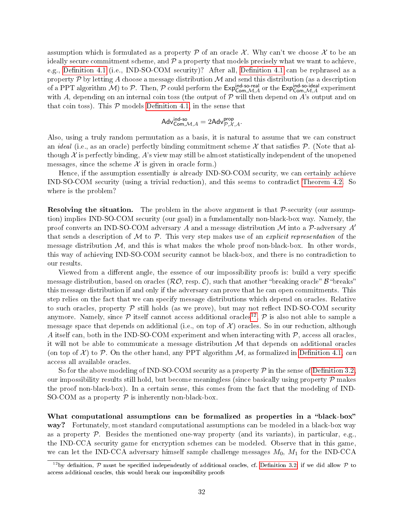assumption which is formulated as a property  $\mathcal P$  of an oracle X. Why can't we choose X to be an ideally secure commitment scheme, and  $P$  a property that models precisely what we want to achieve, e.g., Definition 4.1 (i.e., IND-SO-COM security)? After all, Definition 4.1 can be rephrased as a property  $\mathcal P$  by letting A choose a message distribution  $\mathcal M$  and send this distribution (as a description of a PPT algorithm  $\cal M)$  to  $\cal P$ . Then,  $\cal P$  could perform the  ${\sf Exp}_{\sf Com, \cal M, \cal A}^{\sf ind\text{-}so\text{-}real}$  or the  ${\sf Exp}_{\sf Com, \cal M, \cal A}^{\sf ind\text{-}so\text{-}ideal}$  experiment with A, depending on an internal coin toss (the output of  $P$  will then depend on A's output and on that coin toss). This  $P$  models Definition 4.1, in the sense that

$$
\mathsf{Adv}^{\mathsf{ind\text{-}so}}_{\mathsf{Com},\mathcal{M},A} = 2\mathsf{Adv}^{\mathsf{prop}}_{\mathcal{P},\mathcal{X},A}.
$$

Also, using a truly random permutation as a basis, it is natural to assume that we can construct an *ideal* (i.e., as an oracle) perfectly binding commitment scheme  $\mathcal X$  that satisfies  $\mathcal P$ . (Note that although  $\mathcal X$  is perfectly binding,  $A$ 's view may still be almost statistically independent of the unopened messages, since the scheme  $\mathcal X$  is given in oracle form.)

Hence, if the assumption essentially is already IND-SO-COM security, we can certainly achieve IND-SO-COM security (using a trivial reduction), and this seems to contradict [Theorem 4.2.](#page-16-2) So where is the problem?

**Resolving the situation.** The problem in the above argument is that  $\mathcal{P}$ -security (our assumption) implies IND-SO-COM security (our goal) in a fundamentally non-black-box way. Namely, the proof converts an IND-SO-COM adversary A and a message distribution  $\mathcal M$  into a P-adversary A' that sends a description of  $M$  to  $P$ . This very step makes use of an *explicit representation* of the message distribution  $M$ , and this is what makes the whole proof non-black-box. In other words, this way of achieving IND-SO-COM security cannot be black-box, and there is no contradiction to our results.

Viewed from a different angle, the essence of our impossibility proofs is: build a very specific message distribution, based on oracles  $(\mathcal{RO}, \text{resp. } \mathcal{C})$ , such that another "breaking oracle"  $\mathcal{B}$  "breaks" this message distribution if and only if the adversary can prove that he can open commitments. This step relies on the fact that we can specify message distributions which depend on oracles. Relative to such oracles, property  $P$  still holds (as we prove), but may not reflect IND-SO-COM security anymore. Namely, since  $\cal P$  itself cannot access additional oracles<sup>[12](#page-31-0)</sup>,  $\cal P$  is also not able to sample a message space that depends on additional (i.e., on top of  $\mathcal{X}$ ) oracles. So in our reduction, although A itself can, both in the IND-SO-COM experiment and when interacting with  $P$ , access all oracles, it will not be able to communicate a message distribution  $\mathcal M$  that depends on additional oracles (on top of  $\mathcal{X}$ ) to  $\mathcal{P}$ . On the other hand, any PPT algorithm M, as formalized in Definition 4.1, can access all available oracles.

So for the above modeling of IND-SO-COM security as a property  $\mathcal P$  in the sense of Definition 3.2. our impossibility results still hold, but become meaningless (since basically using property  $\mathcal P$  makes the proof non-black-box). In a certain sense, this comes from the fact that the modeling of IND-SO-COM as a property  $P$  is inherently non-black-box.

What computational assumptions can be formalized as properties in a "black-box" way? Fortunately, most standard computational assumptions can be modeled in a black-box way as a property  $P$ . Besides the mentioned one-way property (and its variants), in particular, e.g., the IND-CCA security game for encryption schemes can be modeled. Observe that in this game, we can let the IND-CCA adversary himself sample challenge messages  $M_0$ ,  $M_1$  for the IND-CCA

<span id="page-31-0"></span><sup>&</sup>lt;sup>12</sup>by definition,  $P$  must be specified independently of additional oracles, cf. Definition 3.2; if we did allow  $P$  to access additional oracles, this would break our impossibility proofs